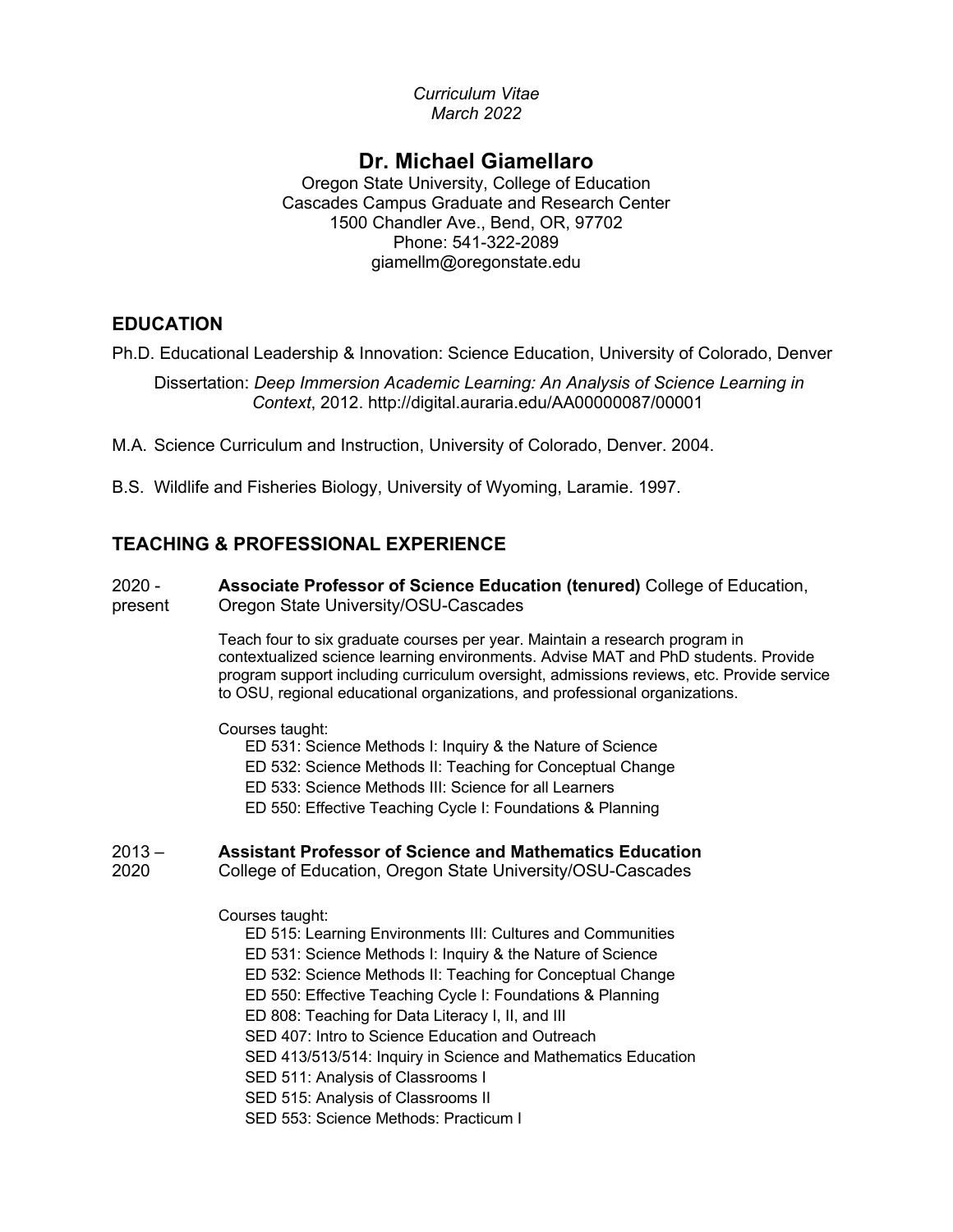*Curriculum Vitae March 2022*

# **Dr. Michael Giamellaro**

Oregon State University, College of Education Cascades Campus Graduate and Research Center 1500 Chandler Ave., Bend, OR, 97702 Phone: 541-322-2089 giamellm@oregonstate.edu

# **EDUCATION**

Ph.D. Educational Leadership & Innovation: Science Education, University of Colorado, Denver

Dissertation: *Deep Immersion Academic Learning: An Analysis of Science Learning in Context*, 2012. http://digital.auraria.edu/AA00000087/00001

M.A. Science Curriculum and Instruction, University of Colorado, Denver. 2004.

B.S. Wildlife and Fisheries Biology, University of Wyoming, Laramie. 1997.

# **TEACHING & PROFESSIONAL EXPERIENCE**

2020 present **Associate Professor of Science Education (tenured)** College of Education, Oregon State University/OSU-Cascades

> Teach four to six graduate courses per year. Maintain a research program in contextualized science learning environments. Advise MAT and PhD students. Provide program support including curriculum oversight, admissions reviews, etc. Provide service to OSU, regional educational organizations, and professional organizations.

#### Courses taught:

- ED 531: Science Methods I: Inquiry & the Nature of Science
- ED 532: Science Methods II: Teaching for Conceptual Change
- ED 533: Science Methods III: Science for all Learners
- ED 550: Effective Teaching Cycle I: Foundations & Planning

#### $2013 -$ **Assistant Professor of Science and Mathematics Education**

2020 College of Education, Oregon State University/OSU-Cascades

Courses taught:

- ED 515: Learning Environments III: Cultures and Communities
- ED 531: Science Methods I: Inquiry & the Nature of Science
- ED 532: Science Methods II: Teaching for Conceptual Change
- ED 550: Effective Teaching Cycle I: Foundations & Planning
- ED 808: Teaching for Data Literacy I, II, and III
- SED 407: Intro to Science Education and Outreach
- SED 413/513/514: Inquiry in Science and Mathematics Education
- SED 511: Analysis of Classrooms I
- SED 515: Analysis of Classrooms II
- SED 553: Science Methods: Practicum I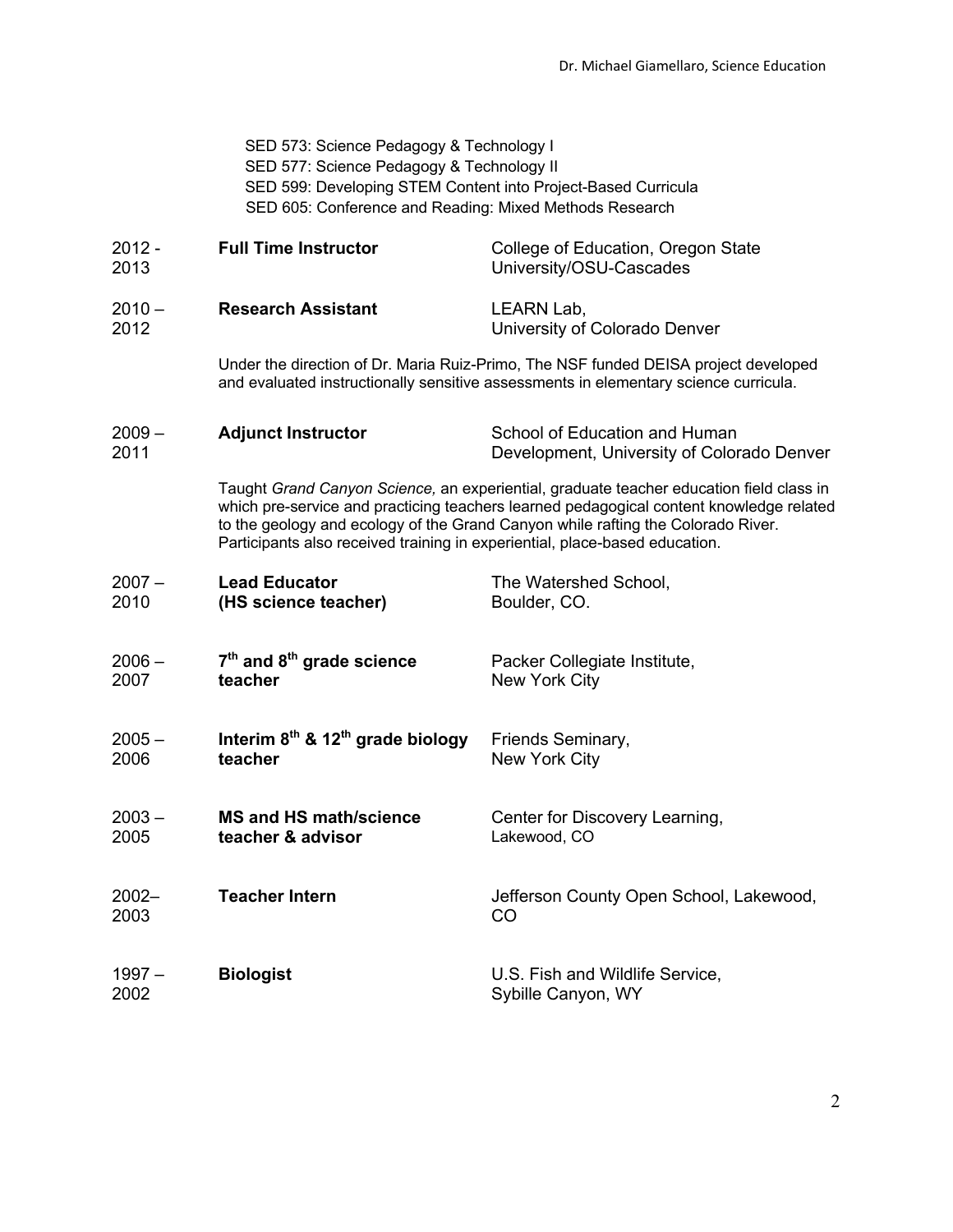SED 573: Science Pedagogy & Technology I SED 577: Science Pedagogy & Technology II SED 599: Developing STEM Content into Project-Based Curricula SED 605: Conference and Reading: Mixed Methods Research

| $2012 -$<br>2013 | <b>Full Time Instructor</b>                                                                                                                                                                                                                                                                                                                           | College of Education, Oregon State<br>University/OSU-Cascades               |
|------------------|-------------------------------------------------------------------------------------------------------------------------------------------------------------------------------------------------------------------------------------------------------------------------------------------------------------------------------------------------------|-----------------------------------------------------------------------------|
| $2010 -$<br>2012 | <b>Research Assistant</b>                                                                                                                                                                                                                                                                                                                             | LEARN Lab,<br>University of Colorado Denver                                 |
|                  | Under the direction of Dr. Maria Ruiz-Primo, The NSF funded DEISA project developed<br>and evaluated instructionally sensitive assessments in elementary science curricula.                                                                                                                                                                           |                                                                             |
| $2009 -$<br>2011 | <b>Adjunct Instructor</b>                                                                                                                                                                                                                                                                                                                             | School of Education and Human<br>Development, University of Colorado Denver |
|                  | Taught Grand Canyon Science, an experiential, graduate teacher education field class in<br>which pre-service and practicing teachers learned pedagogical content knowledge related<br>to the geology and ecology of the Grand Canyon while rafting the Colorado River.<br>Participants also received training in experiential, place-based education. |                                                                             |
| $2007 -$<br>2010 | <b>Lead Educator</b><br>(HS science teacher)                                                                                                                                                                                                                                                                                                          | The Watershed School,<br>Boulder, CO.                                       |
| $2006 -$<br>2007 | $7th$ and $8th$ grade science<br>teacher                                                                                                                                                                                                                                                                                                              | Packer Collegiate Institute,<br>New York City                               |
| $2005 -$<br>2006 | Interim $8th$ & 12 <sup>th</sup> grade biology<br>teacher                                                                                                                                                                                                                                                                                             | Friends Seminary,<br>New York City                                          |
| $2003 -$<br>2005 | <b>MS and HS math/science</b><br>teacher & advisor                                                                                                                                                                                                                                                                                                    | Center for Discovery Learning,<br>Lakewood, CO                              |
| $2002 -$<br>2003 | <b>Teacher Intern</b>                                                                                                                                                                                                                                                                                                                                 | Jefferson County Open School, Lakewood,<br>CO                               |
| $1997 -$<br>2002 | <b>Biologist</b>                                                                                                                                                                                                                                                                                                                                      | U.S. Fish and Wildlife Service,<br>Sybille Canyon, WY                       |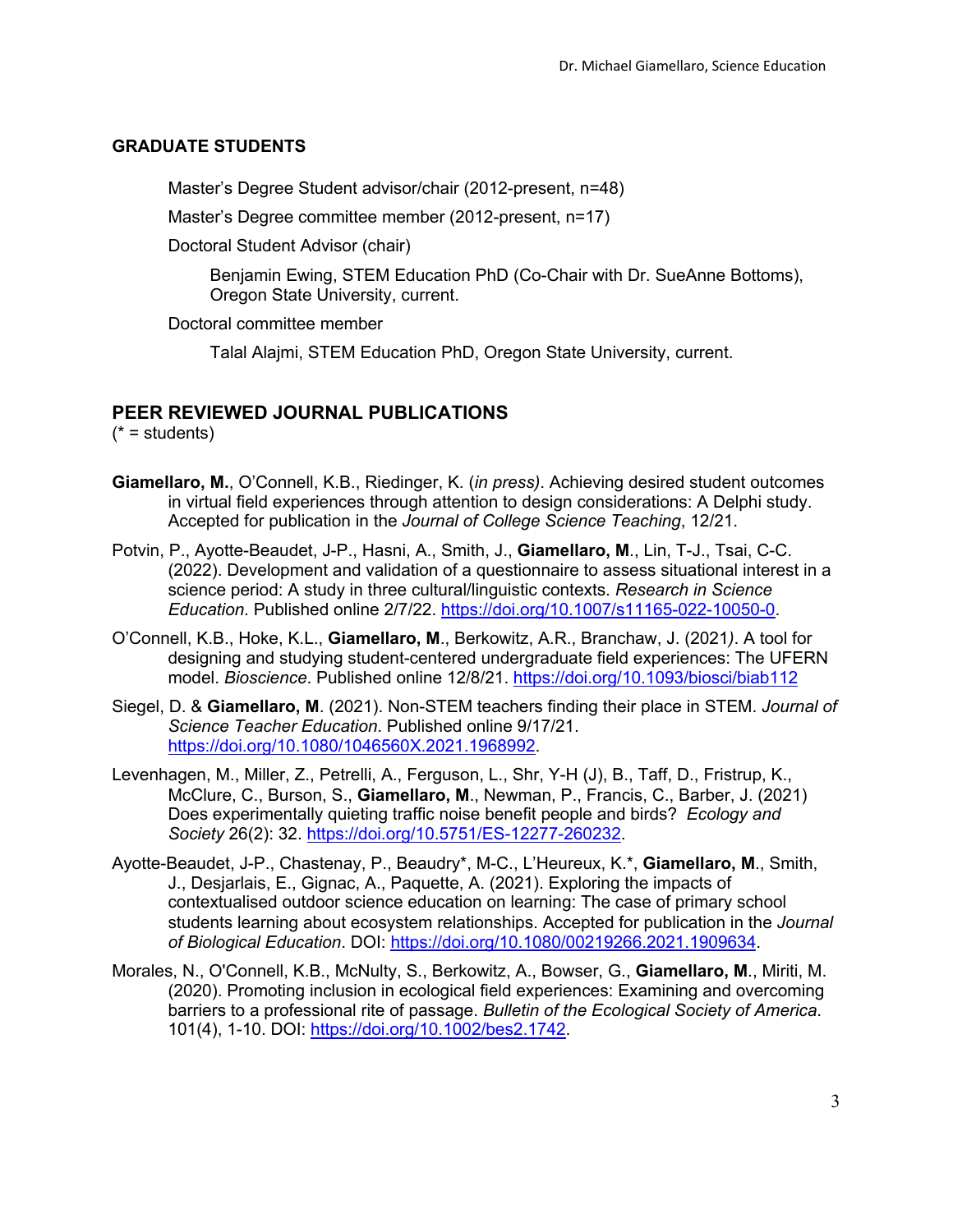#### **GRADUATE STUDENTS**

Master's Degree Student advisor/chair (2012-present, n=48)

Master's Degree committee member (2012-present, n=17)

Doctoral Student Advisor (chair)

Benjamin Ewing, STEM Education PhD (Co-Chair with Dr. SueAnne Bottoms), Oregon State University, current.

Doctoral committee member

Talal Alajmi, STEM Education PhD, Oregon State University, current.

# **PEER REVIEWED JOURNAL PUBLICATIONS**

 $(* = students)$ 

- **Giamellaro, M.**, O'Connell, K.B., Riedinger, K. (*in press)*. Achieving desired student outcomes in virtual field experiences through attention to design considerations: A Delphi study. Accepted for publication in the *Journal of College Science Teaching*, 12/21.
- Potvin, P., Ayotte-Beaudet, J-P., Hasni, A., Smith, J., **Giamellaro, M**., Lin, T-J., Tsai, C-C. (2022). Development and validation of a questionnaire to assess situational interest in a science period: A study in three cultural/linguistic contexts. *Research in Science Education*. Published online 2/7/22. https://doi.org/10.1007/s11165-022-10050-0.
- O'Connell, K.B., Hoke, K.L., **Giamellaro, M**., Berkowitz, A.R., Branchaw, J. (2021*)*. A tool for designing and studying student-centered undergraduate field experiences: The UFERN model. *Bioscience*. Published online 12/8/21. https://doi.org/10.1093/biosci/biab112
- Siegel, D. & **Giamellaro, M**. (2021). Non-STEM teachers finding their place in STEM. *Journal of Science Teacher Education*. Published online 9/17/21. https://doi.org/10.1080/1046560X.2021.1968992.
- Levenhagen, M., Miller, Z., Petrelli, A., Ferguson, L., Shr, Y-H (J), B., Taff, D., Fristrup, K., McClure, C., Burson, S., **Giamellaro, M**., Newman, P., Francis, C., Barber, J. (2021) Does experimentally quieting traffic noise benefit people and birds? *Ecology and Society* 26(2): 32. https://doi.org/10.5751/ES-12277-260232.
- Ayotte-Beaudet, J-P., Chastenay, P., Beaudry\*, M-C., L'Heureux, K.\*, **Giamellaro, M**., Smith, J., Desjarlais, E., Gignac, A., Paquette, A. (2021). Exploring the impacts of contextualised outdoor science education on learning: The case of primary school students learning about ecosystem relationships. Accepted for publication in the *Journal of Biological Education*. DOI: https://doi.org/10.1080/00219266.2021.1909634.
- Morales, N., O'Connell, K.B., McNulty, S., Berkowitz, A., Bowser, G., **Giamellaro, M**., Miriti, M. (2020). Promoting inclusion in ecological field experiences: Examining and overcoming barriers to a professional rite of passage. *Bulletin of the Ecological Society of America*. 101(4), 1-10. DOI: https://doi.org/10.1002/bes2.1742.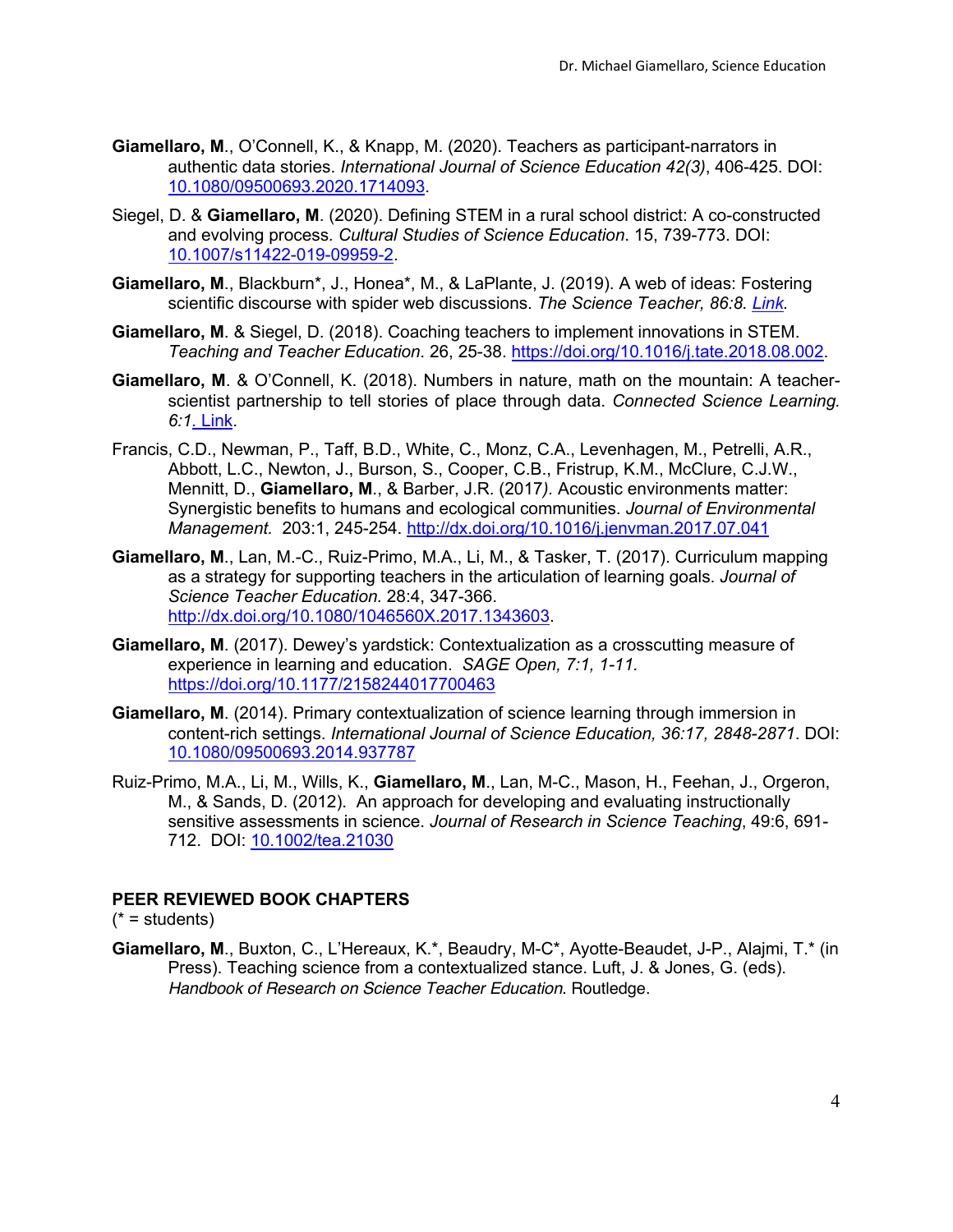- **Giamellaro, M**., O'Connell, K., & Knapp, M. (2020). Teachers as participant-narrators in authentic data stories. *International Journal of Science Education 42(3)*, 406-425. DOI: 10.1080/09500693.2020.1714093.
- Siegel, D. & **Giamellaro, M**. (2020). Defining STEM in a rural school district: A co-constructed and evolving process*. Cultural Studies of Science Education*. 15, 739-773. DOI: 10.1007/s11422-019-09959-2.
- **Giamellaro, M**., Blackburn\*, J., Honea\*, M., & LaPlante, J. (2019). A web of ideas: Fostering scientific discourse with spider web discussions. *The Science Teacher, 86:8. Link.*
- **Giamellaro, M**. & Siegel, D. (2018). Coaching teachers to implement innovations in STEM. *Teaching and Teacher Education*. 26, 25-38. https://doi.org/10.1016/j.tate.2018.08.002.
- **Giamellaro, M**. & O'Connell, K. (2018). Numbers in nature, math on the mountain: A teacherscientist partnership to tell stories of place through data. *Connected Science Learning. 6:1.* Link.
- Francis, C.D., Newman, P., Taff, B.D., White, C., Monz, C.A., Levenhagen, M., Petrelli, A.R., Abbott, L.C., Newton, J., Burson, S., Cooper, C.B., Fristrup, K.M., McClure, C.J.W., Mennitt, D., **Giamellaro, M**., & Barber, J.R. (2017*).* Acoustic environments matter: Synergistic benefits to humans and ecological communities. *Journal of Environmental Management.* 203:1, 245-254. http://dx.doi.org/10.1016/j.jenvman.2017.07.041
- **Giamellaro, M**., Lan, M.-C., Ruiz-Primo, M.A., Li, M., & Tasker, T. (2017). Curriculum mapping as a strategy for supporting teachers in the articulation of learning goals. *Journal of Science Teacher Education.* 28:4, 347-366. http://dx.doi.org/10.1080/1046560X.2017.1343603.
- **Giamellaro, M**. (2017). Dewey's yardstick: Contextualization as a crosscutting measure of experience in learning and education. *SAGE Open, 7:1, 1-11.*  https://doi.org/10.1177/2158244017700463
- **Giamellaro, M**. (2014). Primary contextualization of science learning through immersion in content-rich settings. *International Journal of Science Education, 36:17, 2848-2871*. DOI: 10.1080/09500693.2014.937787
- Ruiz-Primo, M.A., Li, M., Wills, K., **Giamellaro, M**., Lan, M-C., Mason, H., Feehan, J., Orgeron, M., & Sands, D. (2012). An approach for developing and evaluating instructionally sensitive assessments in science. *Journal of Research in Science Teaching*, 49:6, 691- 712. DOI: 10.1002/tea.21030

### **PEER REVIEWED BOOK CHAPTERS**

 $(* = students)$ 

**Giamellaro, M**., Buxton, C., L'Hereaux, K.\*, Beaudry, M-C\*, Ayotte-Beaudet, J-P., Alajmi, T.\* (in Press). Teaching science from a contextualized stance. Luft, J. & Jones, G. (eds). *Handbook of Research on Science Teacher Education*. Routledge.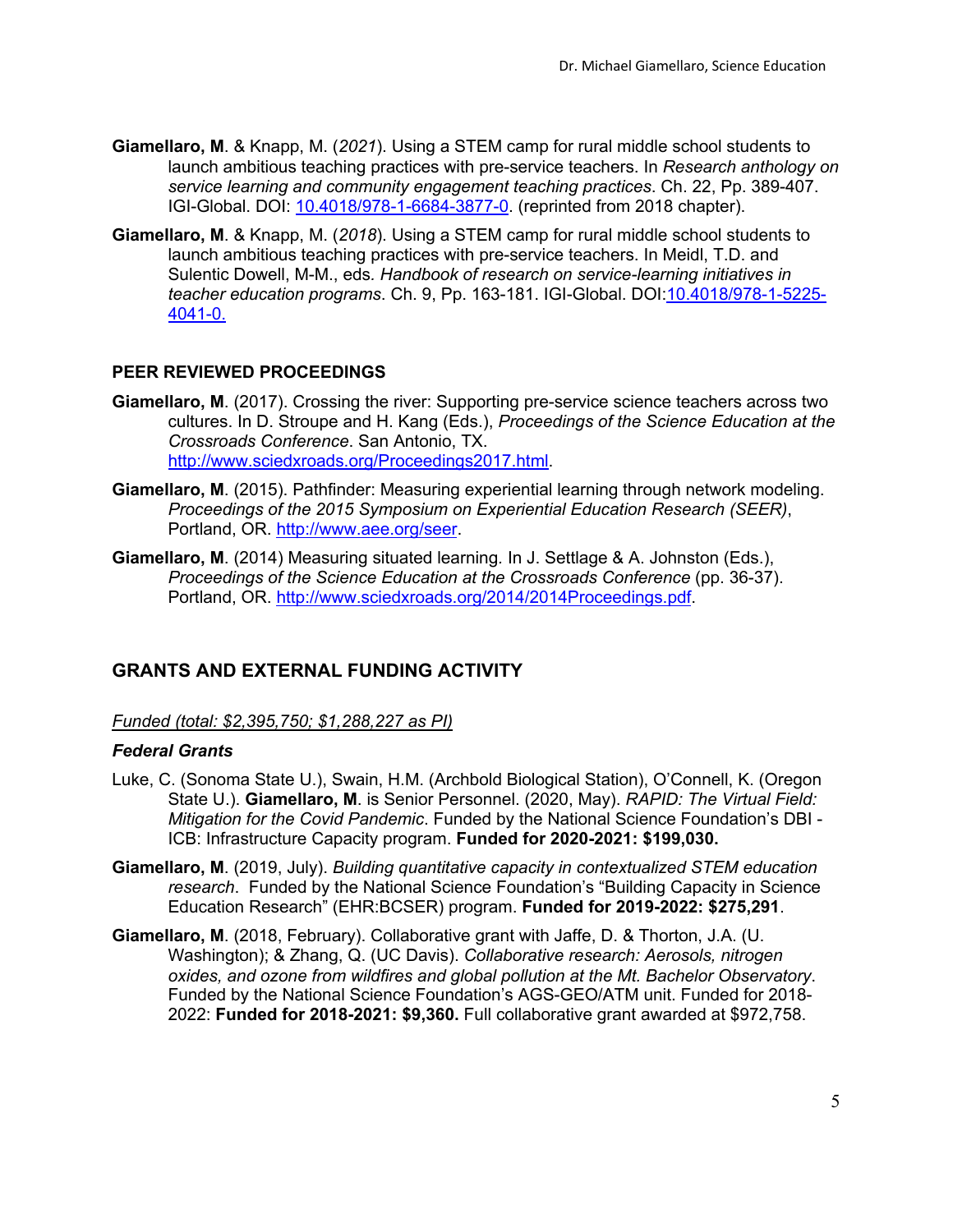- **Giamellaro, M**. & Knapp, M. (*2021*). Using a STEM camp for rural middle school students to launch ambitious teaching practices with pre-service teachers. In *Research anthology on service learning and community engagement teaching practices*. Ch. 22, Pp. 389-407. IGI-Global. DOI: 10.4018/978-1-6684-3877-0. (reprinted from 2018 chapter).
- **Giamellaro, M**. & Knapp, M. (*2018*). Using a STEM camp for rural middle school students to launch ambitious teaching practices with pre-service teachers. In Meidl, T.D. and Sulentic Dowell, M-M., eds*. Handbook of research on service-learning initiatives in teacher education programs*. Ch. 9, Pp. 163-181. IGI-Global. DOI:10.4018/978-1-5225- 4041-0.

# **PEER REVIEWED PROCEEDINGS**

- **Giamellaro, M**. (2017). Crossing the river: Supporting pre-service science teachers across two cultures. In D. Stroupe and H. Kang (Eds.), *Proceedings of the Science Education at the Crossroads Conference*. San Antonio, TX. http://www.sciedxroads.org/Proceedings2017.html.
- **Giamellaro, M**. (2015). Pathfinder: Measuring experiential learning through network modeling. *Proceedings of the 2015 Symposium on Experiential Education Research (SEER)*, Portland, OR. http://www.aee.org/seer.
- **Giamellaro, M**. (2014) Measuring situated learning*.* In J. Settlage & A. Johnston (Eds.), *Proceedings of the Science Education at the Crossroads Conference* (pp. 36-37). Portland, OR. http://www.sciedxroads.org/2014/2014Proceedings.pdf.

# **GRANTS AND EXTERNAL FUNDING ACTIVITY**

*Funded (total: \$2,395,750; \$1,288,227 as PI)*

## *Federal Grants*

- Luke, C. (Sonoma State U.), Swain, H.M. (Archbold Biological Station), O'Connell, K. (Oregon State U.). **Giamellaro, M**. is Senior Personnel. (2020, May). *RAPID: The Virtual Field: Mitigation for the Covid Pandemic*. Funded by the National Science Foundation's DBI - ICB: Infrastructure Capacity program. **Funded for 2020-2021: \$199,030.**
- **Giamellaro, M**. (2019, July). *Building quantitative capacity in contextualized STEM education research*. Funded by the National Science Foundation's "Building Capacity in Science Education Research" (EHR:BCSER) program. **Funded for 2019-2022: \$275,291**.
- **Giamellaro, M**. (2018, February). Collaborative grant with Jaffe, D. & Thorton, J.A. (U. Washington); & Zhang, Q. (UC Davis). *Collaborative research: Aerosols, nitrogen oxides, and ozone from wildfires and global pollution at the Mt. Bachelor Observatory*. Funded by the National Science Foundation's AGS-GEO/ATM unit. Funded for 2018- 2022: **Funded for 2018-2021: \$9,360.** Full collaborative grant awarded at \$972,758.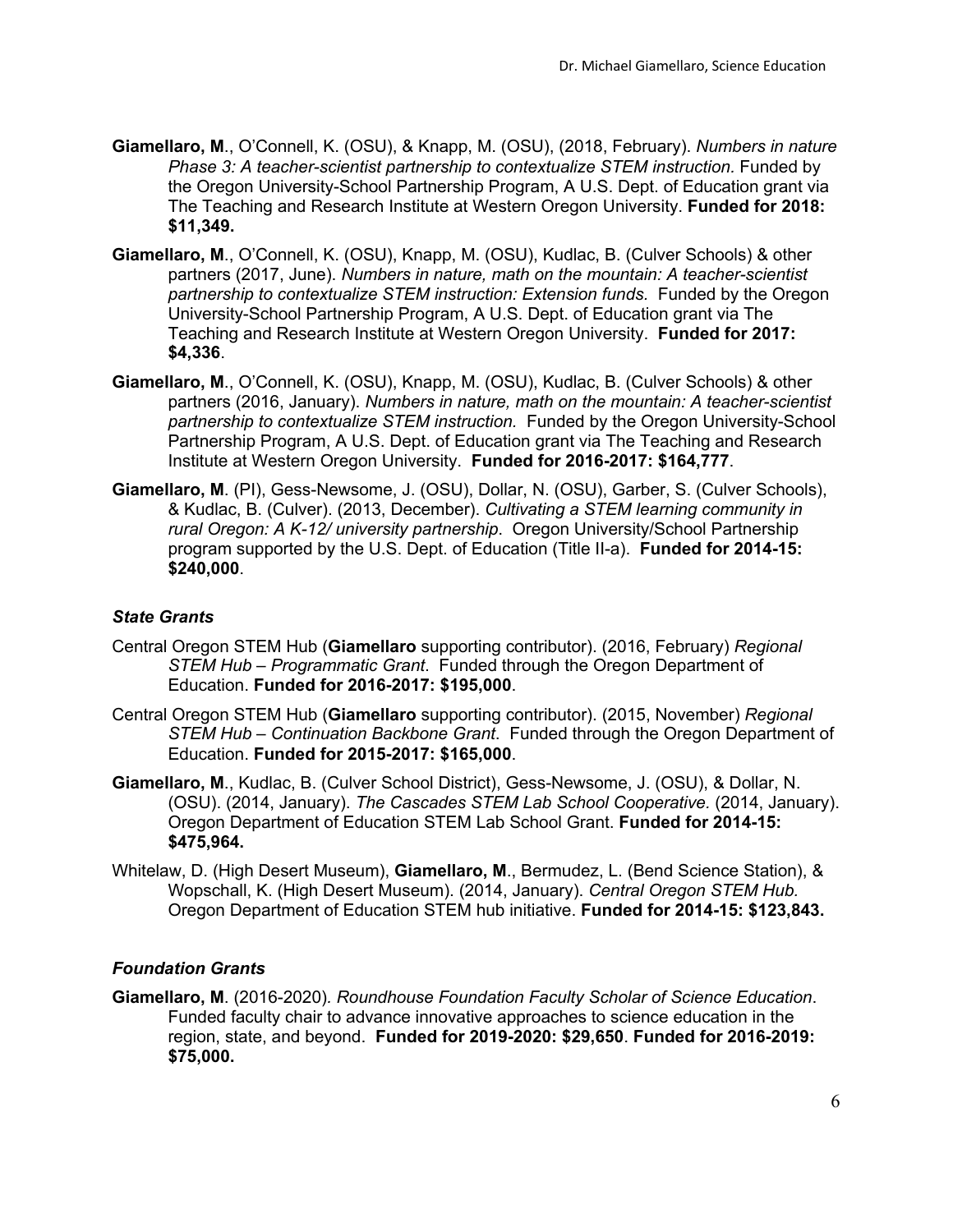- **Giamellaro, M**., O'Connell, K. (OSU), & Knapp, M. (OSU), (2018, February). *Numbers in nature Phase 3: A teacher-scientist partnership to contextualize STEM instruction.* Funded by the Oregon University-School Partnership Program, A U.S. Dept. of Education grant via The Teaching and Research Institute at Western Oregon University. **Funded for 2018: \$11,349.**
- **Giamellaro, M**., O'Connell, K. (OSU), Knapp, M. (OSU), Kudlac, B. (Culver Schools) & other partners (2017, June). *Numbers in nature, math on the mountain: A teacher-scientist partnership to contextualize STEM instruction: Extension funds.* Funded by the Oregon University-School Partnership Program, A U.S. Dept. of Education grant via The Teaching and Research Institute at Western Oregon University. **Funded for 2017: \$4,336**.
- **Giamellaro, M**., O'Connell, K. (OSU), Knapp, M. (OSU), Kudlac, B. (Culver Schools) & other partners (2016, January). *Numbers in nature, math on the mountain: A teacher-scientist partnership to contextualize STEM instruction.* Funded by the Oregon University-School Partnership Program, A U.S. Dept. of Education grant via The Teaching and Research Institute at Western Oregon University. **Funded for 2016-2017: \$164,777**.
- **Giamellaro, M**. (PI), Gess-Newsome, J. (OSU), Dollar, N. (OSU), Garber, S. (Culver Schools), & Kudlac, B. (Culver). (2013, December). *Cultivating a STEM learning community in rural Oregon: A K-12/ university partnership*. Oregon University/School Partnership program supported by the U.S. Dept. of Education (Title II-a). **Funded for 2014-15: \$240,000**.

# *State Grants*

- Central Oregon STEM Hub (**Giamellaro** supporting contributor). (2016, February) *Regional STEM Hub – Programmatic Grant*. Funded through the Oregon Department of Education. **Funded for 2016-2017: \$195,000**.
- Central Oregon STEM Hub (**Giamellaro** supporting contributor). (2015, November) *Regional STEM Hub – Continuation Backbone Grant*. Funded through the Oregon Department of Education. **Funded for 2015-2017: \$165,000**.
- **Giamellaro, M**., Kudlac, B. (Culver School District), Gess-Newsome, J. (OSU), & Dollar, N. (OSU). (2014, January). *The Cascades STEM Lab School Cooperative.* (2014, January). Oregon Department of Education STEM Lab School Grant. **Funded for 2014-15: \$475,964.**
- Whitelaw, D. (High Desert Museum), **Giamellaro, M**., Bermudez, L. (Bend Science Station), & Wopschall, K. (High Desert Museum). (2014, January). *Central Oregon STEM Hub.*  Oregon Department of Education STEM hub initiative. **Funded for 2014-15: \$123,843.**

### *Foundation Grants*

**Giamellaro, M**. (2016-2020)*. Roundhouse Foundation Faculty Scholar of Science Education*. Funded faculty chair to advance innovative approaches to science education in the region, state, and beyond. **Funded for 2019-2020: \$29,650**. **Funded for 2016-2019: \$75,000.**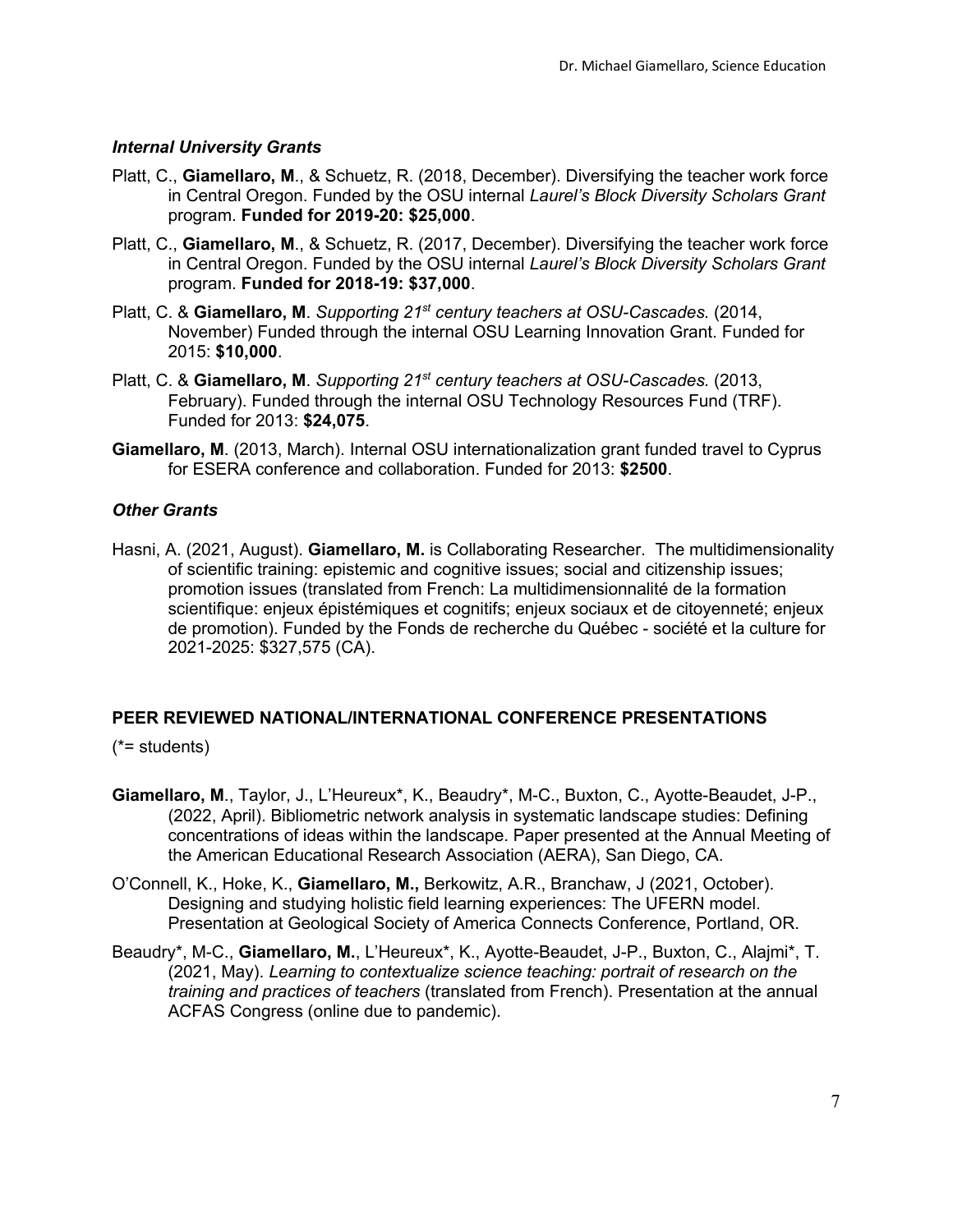### *Internal University Grants*

- Platt, C., **Giamellaro, M**., & Schuetz, R. (2018, December). Diversifying the teacher work force in Central Oregon. Funded by the OSU internal *Laurel's Block Diversity Scholars Grant* program. **Funded for 2019-20: \$25,000**.
- Platt, C., **Giamellaro, M**., & Schuetz, R. (2017, December). Diversifying the teacher work force in Central Oregon. Funded by the OSU internal *Laurel's Block Diversity Scholars Grant* program. **Funded for 2018-19: \$37,000**.
- Platt, C. & **Giamellaro, M**. *Supporting 21st century teachers at OSU-Cascades.* (2014, November) Funded through the internal OSU Learning Innovation Grant. Funded for 2015: **\$10,000**.
- Platt, C. & **Giamellaro, M**. *Supporting 21st century teachers at OSU-Cascades.* (2013, February). Funded through the internal OSU Technology Resources Fund (TRF). Funded for 2013: **\$24,075**.
- **Giamellaro, M**. (2013, March). Internal OSU internationalization grant funded travel to Cyprus for ESERA conference and collaboration. Funded for 2013: **\$2500**.

#### *Other Grants*

Hasni, A. (2021, August). **Giamellaro, M.** is Collaborating Researcher. The multidimensionality of scientific training: epistemic and cognitive issues; social and citizenship issues; promotion issues (translated from French: La multidimensionnalité de la formation scientifique: enjeux épistémiques et cognitifs; enjeux sociaux et de citoyenneté; enjeux de promotion). Funded by the Fonds de recherche du Québec - société et la culture for 2021-2025: \$327,575 (CA).

# **PEER REVIEWED NATIONAL/INTERNATIONAL CONFERENCE PRESENTATIONS**

(\*= students)

- **Giamellaro, M**., Taylor, J., L'Heureux\*, K., Beaudry\*, M-C., Buxton, C., Ayotte-Beaudet, J-P., (2022, April). Bibliometric network analysis in systematic landscape studies: Defining concentrations of ideas within the landscape. Paper presented at the Annual Meeting of the American Educational Research Association (AERA), San Diego, CA.
- O'Connell, K., Hoke, K., **Giamellaro, M.,** Berkowitz, A.R., Branchaw, J (2021, October). Designing and studying holistic field learning experiences: The UFERN model. Presentation at Geological Society of America Connects Conference, Portland, OR.
- Beaudry\*, M-C., **Giamellaro, M.**, L'Heureux\*, K., Ayotte-Beaudet, J-P., Buxton, C., Alajmi\*, T. (2021, May). *Learning to contextualize science teaching: portrait of research on the training and practices of teachers* (translated from French). Presentation at the annual ACFAS Congress (online due to pandemic).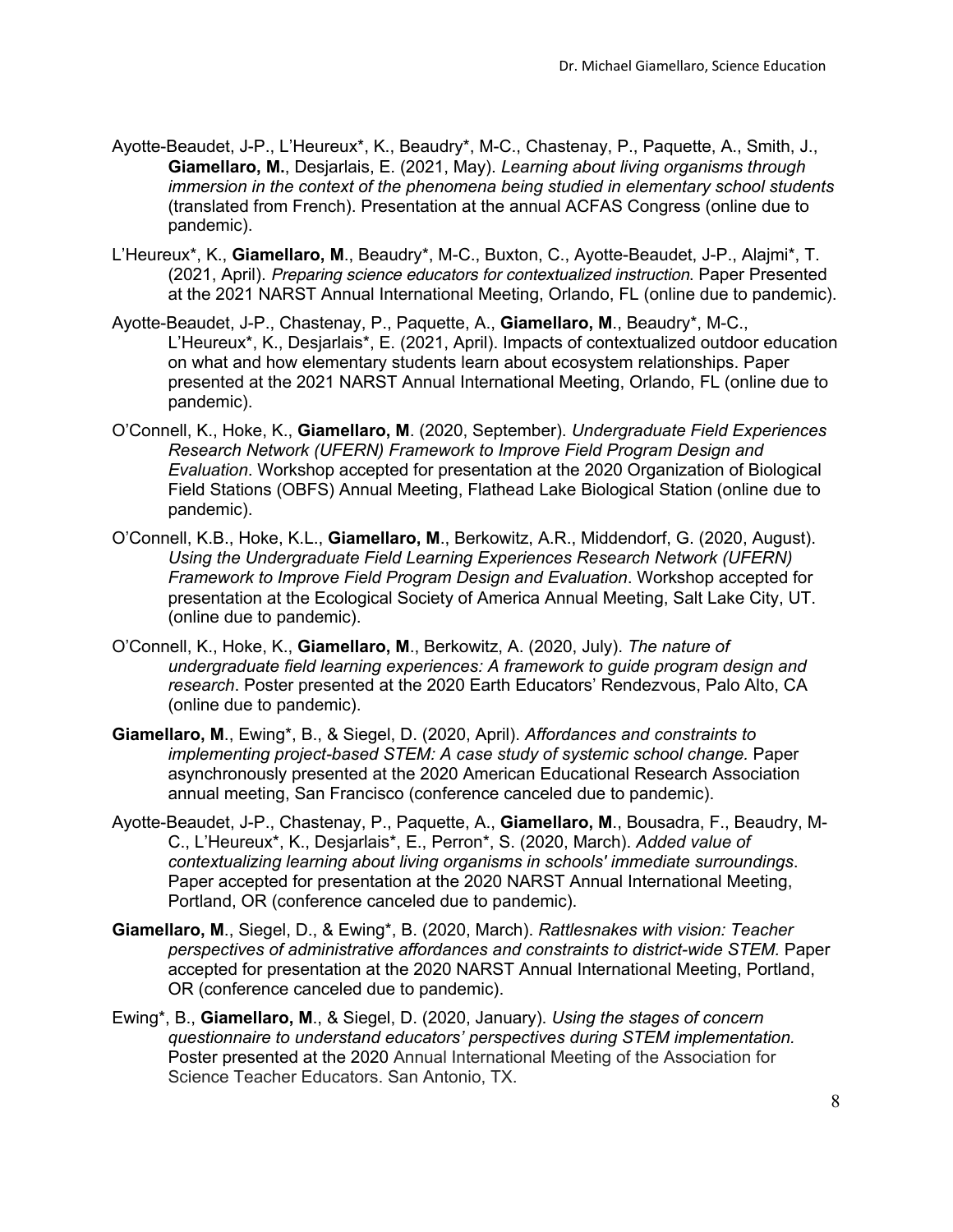- Ayotte-Beaudet, J-P., L'Heureux\*, K., Beaudry\*, M-C., Chastenay, P., Paquette, A., Smith, J., **Giamellaro, M.**, Desjarlais, E. (2021, May). *Learning about living organisms through immersion in the context of the phenomena being studied in elementary school students*  (translated from French). Presentation at the annual ACFAS Congress (online due to pandemic).
- L'Heureux\*, K., **Giamellaro, M**., Beaudry\*, M-C., Buxton, C., Ayotte-Beaudet, J-P., Alajmi\*, T. (2021, April). *Preparing science educators for contextualized instruction*. Paper Presented at the 2021 NARST Annual International Meeting, Orlando, FL (online due to pandemic).
- Ayotte-Beaudet, J-P., Chastenay, P., Paquette, A., **Giamellaro, M**., Beaudry\*, M-C., L'Heureux\*, K., Desjarlais\*, E. (2021, April). Impacts of contextualized outdoor education on what and how elementary students learn about ecosystem relationships. Paper presented at the 2021 NARST Annual International Meeting, Orlando, FL (online due to pandemic).
- O'Connell, K., Hoke, K., **Giamellaro, M**. (2020, September). *Undergraduate Field Experiences Research Network (UFERN) Framework to Improve Field Program Design and Evaluation*. Workshop accepted for presentation at the 2020 Organization of Biological Field Stations (OBFS) Annual Meeting, Flathead Lake Biological Station (online due to pandemic).
- O'Connell, K.B., Hoke, K.L., **Giamellaro, M**., Berkowitz, A.R., Middendorf, G. (2020, August). *Using the Undergraduate Field Learning Experiences Research Network (UFERN) Framework to Improve Field Program Design and Evaluation*. Workshop accepted for presentation at the Ecological Society of America Annual Meeting, Salt Lake City, UT. (online due to pandemic).
- O'Connell, K., Hoke, K., **Giamellaro, M**., Berkowitz, A. (2020, July). *The nature of undergraduate field learning experiences: A framework to guide program design and research*. Poster presented at the 2020 Earth Educators' Rendezvous, Palo Alto, CA (online due to pandemic).
- **Giamellaro, M**., Ewing\*, B., & Siegel, D. (2020, April). *Affordances and constraints to implementing project-based STEM: A case study of systemic school change.* Paper asynchronously presented at the 2020 American Educational Research Association annual meeting, San Francisco (conference canceled due to pandemic).
- Ayotte-Beaudet, J-P., Chastenay, P., Paquette, A., **Giamellaro, M**., Bousadra, F., Beaudry, M-C., L'Heureux\*, K., Desjarlais\*, E., Perron\*, S. (2020, March). *Added value of contextualizing learning about living organisms in schools' immediate surroundings*. Paper accepted for presentation at the 2020 NARST Annual International Meeting, Portland, OR (conference canceled due to pandemic).
- **Giamellaro, M**., Siegel, D., & Ewing\*, B. (2020, March). *Rattlesnakes with vision: Teacher perspectives of administrative affordances and constraints to district-wide STEM.* Paper accepted for presentation at the 2020 NARST Annual International Meeting, Portland, OR (conference canceled due to pandemic).
- Ewing\*, B., **Giamellaro, M**., & Siegel, D. (2020, January). *Using the stages of concern questionnaire to understand educators' perspectives during STEM implementation.*  Poster presented at the 2020 Annual International Meeting of the Association for Science Teacher Educators. San Antonio, TX.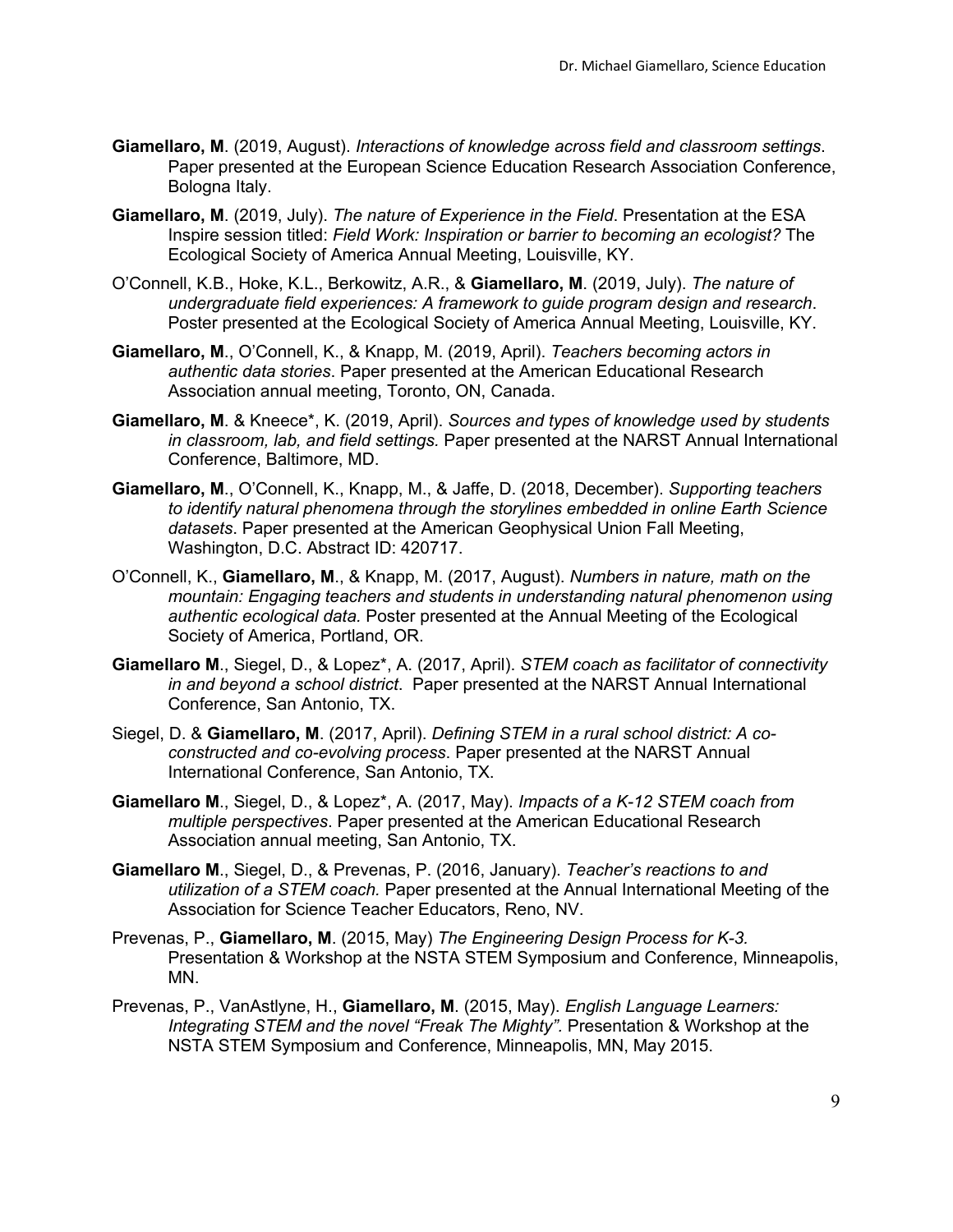- **Giamellaro, M**. (2019, August). *Interactions of knowledge across field and classroom settings*. Paper presented at the European Science Education Research Association Conference, Bologna Italy.
- **Giamellaro, M**. (2019, July). *The nature of Experience in the Field*. Presentation at the ESA Inspire session titled: *Field Work: Inspiration or barrier to becoming an ecologist?* The Ecological Society of America Annual Meeting, Louisville, KY.
- O'Connell, K.B., Hoke, K.L., Berkowitz, A.R., & **Giamellaro, M**. (2019, July). *The nature of undergraduate field experiences: A framework to guide program design and research*. Poster presented at the Ecological Society of America Annual Meeting, Louisville, KY.
- **Giamellaro, M**., O'Connell, K., & Knapp, M. (2019, April). *Teachers becoming actors in authentic data stories*. Paper presented at the American Educational Research Association annual meeting, Toronto, ON, Canada.
- **Giamellaro, M**. & Kneece\*, K. (2019, April). *Sources and types of knowledge used by students in classroom, lab, and field settings.* Paper presented at the NARST Annual International Conference, Baltimore, MD.
- **Giamellaro, M**., O'Connell, K., Knapp, M., & Jaffe, D. (2018, December). *Supporting teachers to identify natural phenomena through the storylines embedded in online Earth Science datasets*. Paper presented at the American Geophysical Union Fall Meeting, Washington, D.C. Abstract ID: 420717.
- O'Connell, K., **Giamellaro, M**., & Knapp, M. (2017, August). *Numbers in nature, math on the mountain: Engaging teachers and students in understanding natural phenomenon using authentic ecological data.* Poster presented at the Annual Meeting of the Ecological Society of America, Portland, OR.
- **Giamellaro M**., Siegel, D., & Lopez\*, A. (2017, April). *STEM coach as facilitator of connectivity in and beyond a school district*. Paper presented at the NARST Annual International Conference, San Antonio, TX.
- Siegel, D. & **Giamellaro, M**. (2017, April). *Defining STEM in a rural school district: A coconstructed and co-evolving process*. Paper presented at the NARST Annual International Conference, San Antonio, TX.
- **Giamellaro M**., Siegel, D., & Lopez\*, A. (2017, May). *Impacts of a K-12 STEM coach from multiple perspectives*. Paper presented at the American Educational Research Association annual meeting, San Antonio, TX.
- **Giamellaro M**., Siegel, D., & Prevenas, P. (2016, January). *Teacher's reactions to and utilization of a STEM coach.* Paper presented at the Annual International Meeting of the Association for Science Teacher Educators, Reno, NV.
- Prevenas, P., **Giamellaro, M**. (2015, May) *The Engineering Design Process for K-3.*  Presentation & Workshop at the NSTA STEM Symposium and Conference, Minneapolis, MN.
- Prevenas, P., VanAstlyne, H., **Giamellaro, M**. (2015, May). *English Language Learners: Integrating STEM and the novel "Freak The Mighty".* Presentation & Workshop at the NSTA STEM Symposium and Conference, Minneapolis, MN, May 2015.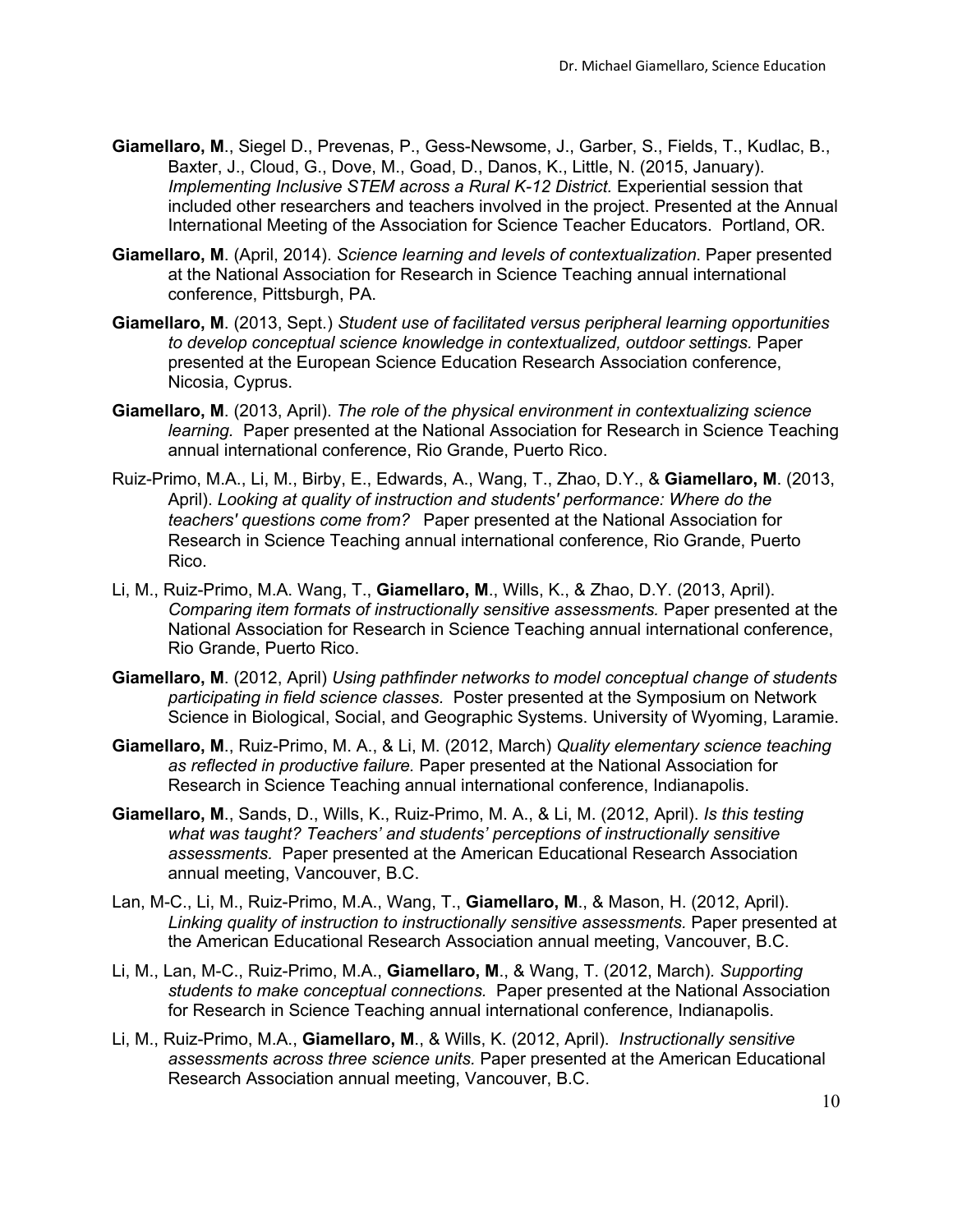- **Giamellaro, M**., Siegel D., Prevenas, P., Gess-Newsome, J., Garber, S., Fields, T., Kudlac, B., Baxter, J., Cloud, G., Dove, M., Goad, D., Danos, K., Little, N. (2015, January). *Implementing Inclusive STEM across a Rural K-12 District.* Experiential session that included other researchers and teachers involved in the project. Presented at the Annual International Meeting of the Association for Science Teacher Educators. Portland, OR.
- **Giamellaro, M**. (April, 2014). *Science learning and levels of contextualization*. Paper presented at the National Association for Research in Science Teaching annual international conference, Pittsburgh, PA.
- **Giamellaro, M**. (2013, Sept.) *Student use of facilitated versus peripheral learning opportunities to develop conceptual science knowledge in contextualized, outdoor settings.* Paper presented at the European Science Education Research Association conference, Nicosia, Cyprus.
- **Giamellaro, M**. (2013, April). *The role of the physical environment in contextualizing science learning.* Paper presented at the National Association for Research in Science Teaching annual international conference, Rio Grande, Puerto Rico.
- Ruiz-Primo, M.A., Li, M., Birby, E., Edwards, A., Wang, T., Zhao, D.Y., & **Giamellaro, M**. (2013, April). *Looking at quality of instruction and students' performance: Where do the teachers' questions come from?* Paper presented at the National Association for Research in Science Teaching annual international conference, Rio Grande, Puerto Rico.
- Li, M., Ruiz-Primo, M.A. Wang, T., **Giamellaro, M**., Wills, K., & Zhao, D.Y. (2013, April). *Comparing item formats of instructionally sensitive assessments.* Paper presented at the National Association for Research in Science Teaching annual international conference, Rio Grande, Puerto Rico.
- **Giamellaro, M**. (2012, April) *Using pathfinder networks to model conceptual change of students participating in field science classes.* Poster presented at the Symposium on Network Science in Biological, Social, and Geographic Systems. University of Wyoming, Laramie.
- **Giamellaro, M**., Ruiz-Primo, M. A., & Li, M. (2012, March) *Quality elementary science teaching as reflected in productive failure.* Paper presented at the National Association for Research in Science Teaching annual international conference, Indianapolis.
- **Giamellaro, M**., Sands, D., Wills, K., Ruiz-Primo, M. A., & Li, M. (2012, April). *Is this testing what was taught? Teachers' and students' perceptions of instructionally sensitive assessments.* Paper presented at the American Educational Research Association annual meeting, Vancouver, B.C.
- Lan, M-C., Li, M., Ruiz-Primo, M.A., Wang, T., **Giamellaro, M**., & Mason, H. (2012, April). *Linking quality of instruction to instructionally sensitive assessments.* Paper presented at the American Educational Research Association annual meeting, Vancouver, B.C.
- Li, M., Lan, M-C., Ruiz-Primo, M.A., **Giamellaro, M**., & Wang, T. (2012, March)*. Supporting students to make conceptual connections.* Paper presented at the National Association for Research in Science Teaching annual international conference, Indianapolis.
- Li, M., Ruiz-Primo, M.A., **Giamellaro, M**., & Wills, K. (2012, April). *Instructionally sensitive assessments across three science units.* Paper presented at the American Educational Research Association annual meeting, Vancouver, B.C.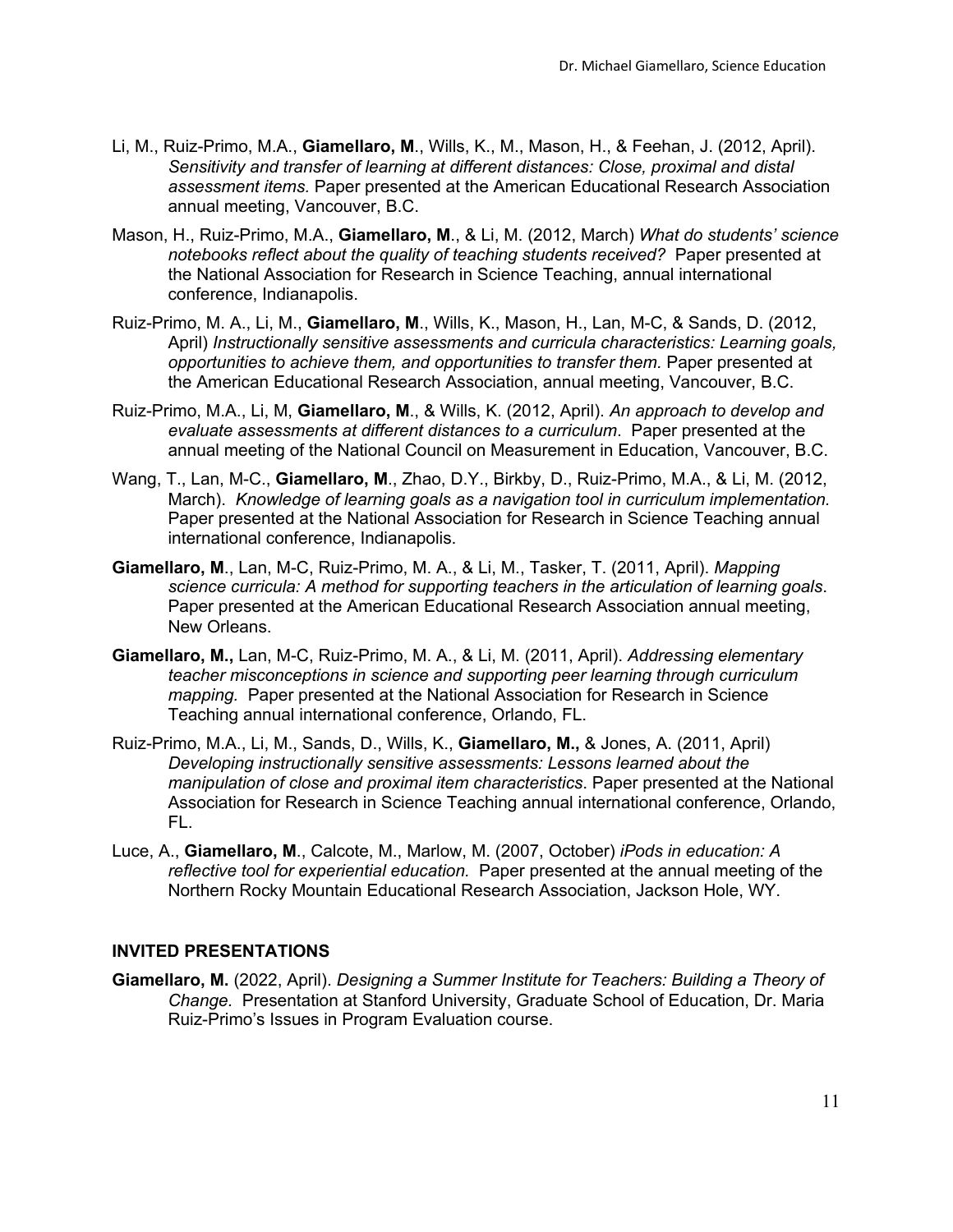- Li, M., Ruiz-Primo, M.A., **Giamellaro, M**., Wills, K., M., Mason, H., & Feehan, J. (2012, April). *Sensitivity and transfer of learning at different distances: Close, proximal and distal assessment items.* Paper presented at the American Educational Research Association annual meeting, Vancouver, B.C.
- Mason, H., Ruiz-Primo, M.A., **Giamellaro, M**., & Li, M. (2012, March) *What do students' science notebooks reflect about the quality of teaching students received?* Paper presented at the National Association for Research in Science Teaching, annual international conference, Indianapolis.
- Ruiz-Primo, M. A., Li, M., **Giamellaro, M**., Wills, K., Mason, H., Lan, M-C, & Sands, D. (2012, April) *Instructionally sensitive assessments and curricula characteristics: Learning goals, opportunities to achieve them, and opportunities to transfer them.* Paper presented at the American Educational Research Association, annual meeting, Vancouver, B.C.
- Ruiz-Primo, M.A., Li, M, **Giamellaro, M**., & Wills, K. (2012, April). *An approach to develop and evaluate assessments at different distances to a curriculum*. Paper presented at the annual meeting of the National Council on Measurement in Education, Vancouver, B.C.
- Wang, T., Lan, M-C., **Giamellaro, M**., Zhao, D.Y., Birkby, D., Ruiz-Primo, M.A., & Li, M. (2012, March). *Knowledge of learning goals as a navigation tool in curriculum implementation.*  Paper presented at the National Association for Research in Science Teaching annual international conference, Indianapolis.
- **Giamellaro, M**., Lan, M-C, Ruiz-Primo, M. A., & Li, M., Tasker, T. (2011, April). *Mapping science curricula: A method for supporting teachers in the articulation of learning goals*. Paper presented at the American Educational Research Association annual meeting, New Orleans.
- **Giamellaro, M.,** Lan, M-C, Ruiz-Primo, M. A., & Li, M. (2011, April). *Addressing elementary teacher misconceptions in science and supporting peer learning through curriculum mapping.* Paper presented at the National Association for Research in Science Teaching annual international conference, Orlando, FL.
- Ruiz-Primo, M.A., Li, M., Sands, D., Wills, K., **Giamellaro, M.,** & Jones, A. (2011, April) *Developing instructionally sensitive assessments: Lessons learned about the manipulation of close and proximal item characteristics*. Paper presented at the National Association for Research in Science Teaching annual international conference, Orlando, FL.
- Luce, A., **Giamellaro, M**., Calcote, M., Marlow, M. (2007, October) *iPods in education: A reflective tool for experiential education.* Paper presented at the annual meeting of the Northern Rocky Mountain Educational Research Association, Jackson Hole, WY.

### **INVITED PRESENTATIONS**

**Giamellaro, M.** (2022, April). *Designing a Summer Institute for Teachers: Building a Theory of Change.* Presentation at Stanford University, Graduate School of Education, Dr. Maria Ruiz-Primo's Issues in Program Evaluation course.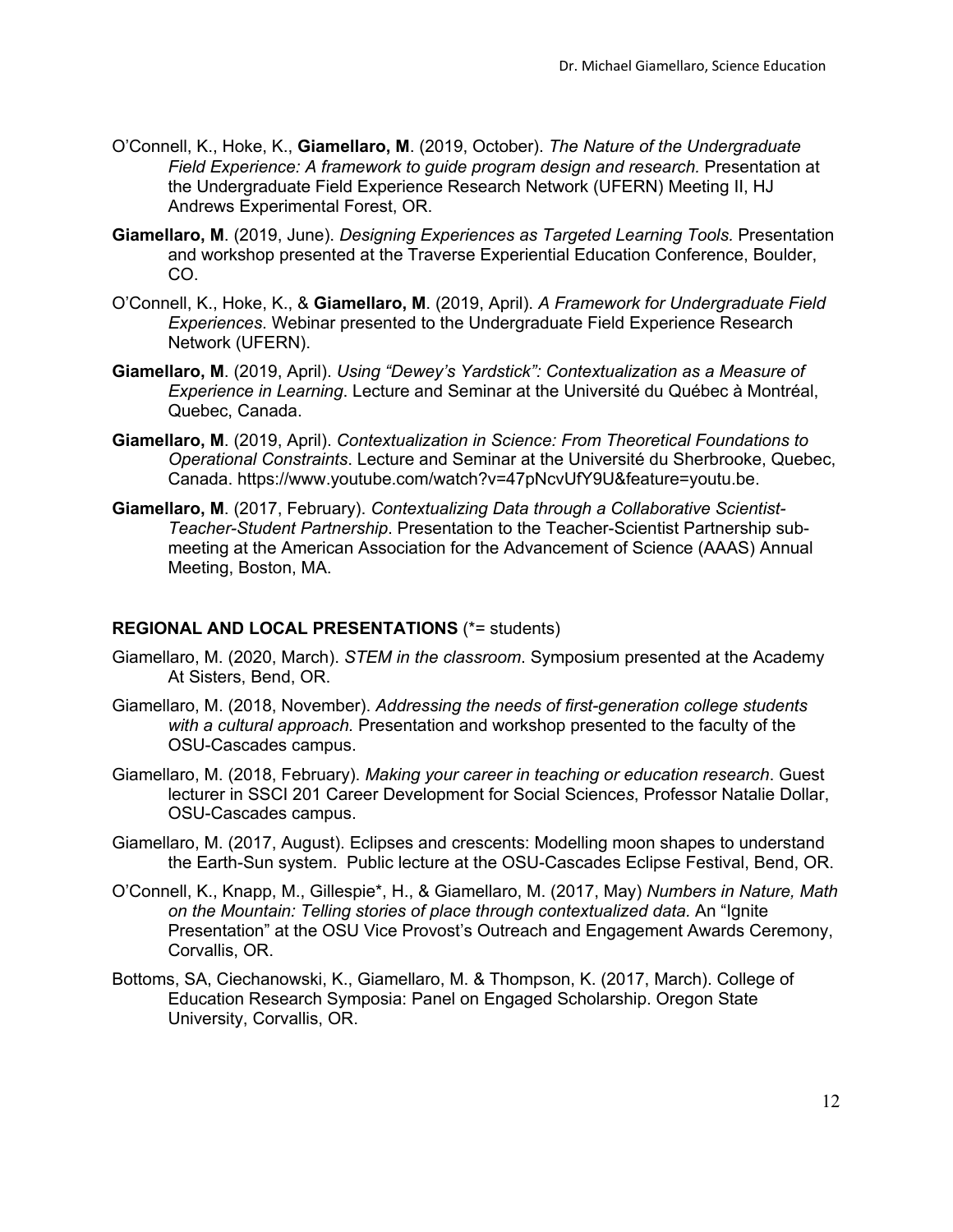- O'Connell, K., Hoke, K., **Giamellaro, M**. (2019, October). *The Nature of the Undergraduate Field Experience: A framework to guide program design and research.* Presentation at the Undergraduate Field Experience Research Network (UFERN) Meeting II, HJ Andrews Experimental Forest, OR.
- **Giamellaro, M**. (2019, June). *Designing Experiences as Targeted Learning Tools.* Presentation and workshop presented at the Traverse Experiential Education Conference, Boulder, CO.
- O'Connell, K., Hoke, K., & **Giamellaro, M**. (2019, April). *A Framework for Undergraduate Field Experiences*. Webinar presented to the Undergraduate Field Experience Research Network (UFERN).
- **Giamellaro, M**. (2019, April). *Using "Dewey's Yardstick": Contextualization as a Measure of Experience in Learning*. Lecture and Seminar at the Université du Québec à Montréal, Quebec, Canada.
- **Giamellaro, M**. (2019, April). *Contextualization in Science: From Theoretical Foundations to Operational Constraints*. Lecture and Seminar at the Université du Sherbrooke, Quebec, Canada. https://www.youtube.com/watch?v=47pNcvUfY9U&feature=youtu.be.
- **Giamellaro, M**. (2017, February). *Contextualizing Data through a Collaborative Scientist-Teacher-Student Partnership*. Presentation to the Teacher-Scientist Partnership submeeting at the American Association for the Advancement of Science (AAAS) Annual Meeting, Boston, MA.

# **REGIONAL AND LOCAL PRESENTATIONS** (\*= students)

- Giamellaro, M. (2020, March). *STEM in the classroom*. Symposium presented at the Academy At Sisters, Bend, OR.
- Giamellaro, M. (2018, November). *Addressing the needs of first-generation college students with a cultural approach.* Presentation and workshop presented to the faculty of the OSU-Cascades campus.
- Giamellaro, M. (2018, February). *Making your career in teaching or education research*. Guest lecturer in SSCI 201 Career Development for Social Science*s*, Professor Natalie Dollar, OSU-Cascades campus.
- Giamellaro, M. (2017, August). Eclipses and crescents: Modelling moon shapes to understand the Earth-Sun system. Public lecture at the OSU-Cascades Eclipse Festival, Bend, OR.
- O'Connell, K., Knapp, M., Gillespie\*, H., & Giamellaro, M. (2017, May) *Numbers in Nature, Math on the Mountain: Telling stories of place through contextualized data.* An "Ignite Presentation" at the OSU Vice Provost's Outreach and Engagement Awards Ceremony, Corvallis, OR.
- Bottoms, SA, Ciechanowski, K., Giamellaro, M. & Thompson, K. (2017, March). College of Education Research Symposia: Panel on Engaged Scholarship. Oregon State University, Corvallis, OR.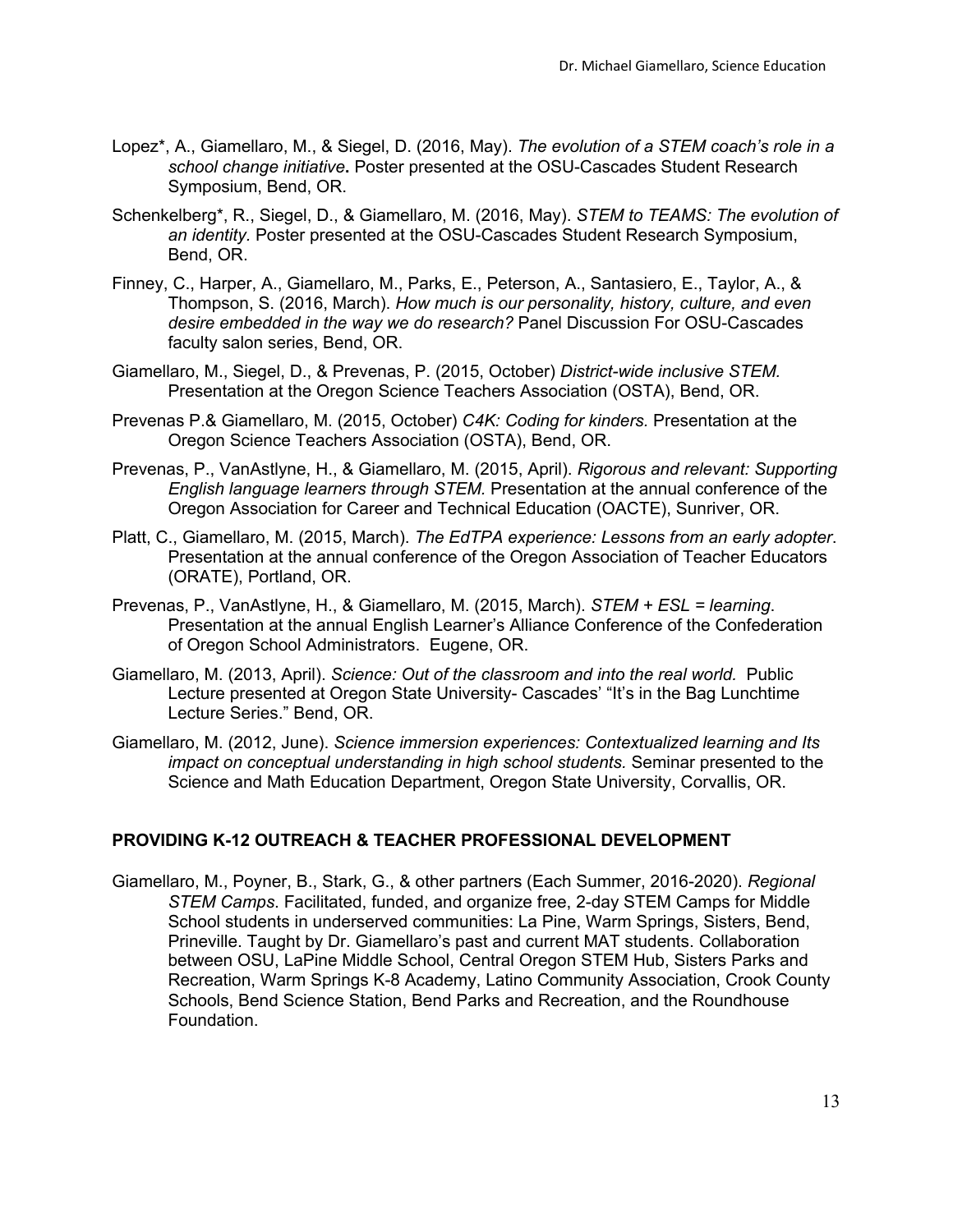- Lopez\*, A., Giamellaro, M., & Siegel, D. (2016, May). *The evolution of a STEM coach's role in a school change initiative***.** Poster presented at the OSU-Cascades Student Research Symposium, Bend, OR.
- Schenkelberg\*, R., Siegel, D., & Giamellaro, M. (2016, May). *STEM to TEAMS: The evolution of an identity.* Poster presented at the OSU-Cascades Student Research Symposium, Bend, OR.
- Finney, C., Harper, A., Giamellaro, M., Parks, E., Peterson, A., Santasiero, E., Taylor, A., & Thompson, S. (2016, March). *How much is our personality, history, culture, and even desire embedded in the way we do research?* Panel Discussion For OSU-Cascades faculty salon series, Bend, OR.
- Giamellaro, M., Siegel, D., & Prevenas, P. (2015, October) *District-wide inclusive STEM.*  Presentation at the Oregon Science Teachers Association (OSTA), Bend, OR.
- Prevenas P.& Giamellaro, M. (2015, October) *C4K: Coding for kinders.* Presentation at the Oregon Science Teachers Association (OSTA), Bend, OR.
- Prevenas, P., VanAstlyne, H., & Giamellaro, M. (2015, April). *Rigorous and relevant: Supporting English language learners through STEM.* Presentation at the annual conference of the Oregon Association for Career and Technical Education (OACTE), Sunriver, OR.
- Platt, C., Giamellaro, M. (2015, March). *The EdTPA experience: Lessons from an early adopter*. Presentation at the annual conference of the Oregon Association of Teacher Educators (ORATE), Portland, OR.
- Prevenas, P., VanAstlyne, H., & Giamellaro, M. (2015, March). *STEM + ESL = learning*. Presentation at the annual English Learner's Alliance Conference of the Confederation of Oregon School Administrators. Eugene, OR.
- Giamellaro, M. (2013, April). *Science: Out of the classroom and into the real world.* Public Lecture presented at Oregon State University- Cascades' "It's in the Bag Lunchtime Lecture Series." Bend, OR.
- Giamellaro, M. (2012, June). *Science immersion experiences: Contextualized learning and Its impact on conceptual understanding in high school students.* Seminar presented to the Science and Math Education Department, Oregon State University, Corvallis, OR.

### **PROVIDING K-12 OUTREACH & TEACHER PROFESSIONAL DEVELOPMENT**

Giamellaro, M., Poyner, B., Stark, G., & other partners (Each Summer, 2016-2020). *Regional STEM Camps*. Facilitated, funded, and organize free, 2-day STEM Camps for Middle School students in underserved communities: La Pine, Warm Springs, Sisters, Bend, Prineville. Taught by Dr. Giamellaro's past and current MAT students. Collaboration between OSU, LaPine Middle School, Central Oregon STEM Hub, Sisters Parks and Recreation, Warm Springs K-8 Academy, Latino Community Association, Crook County Schools, Bend Science Station, Bend Parks and Recreation, and the Roundhouse Foundation.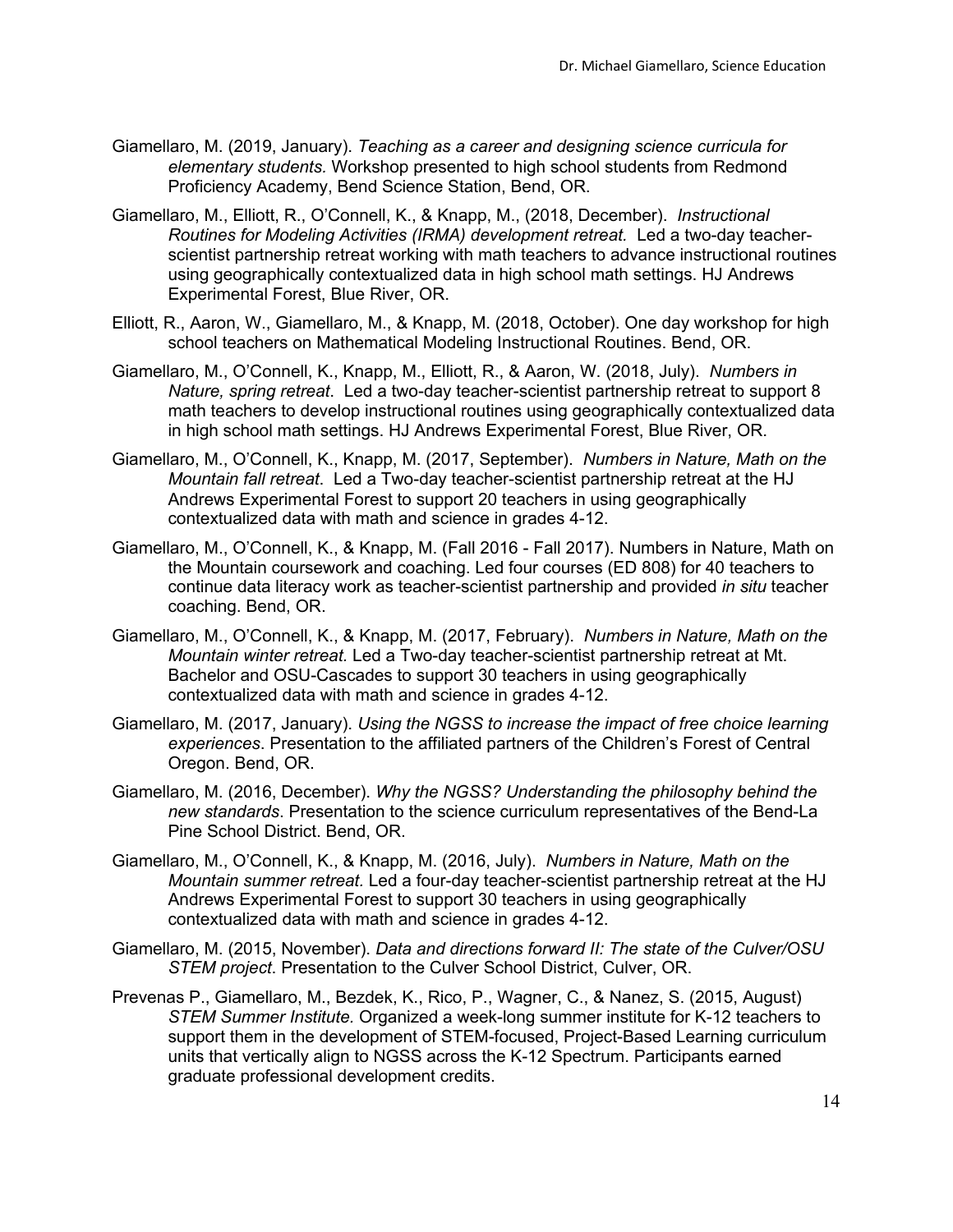- Giamellaro, M. (2019, January). *Teaching as a career and designing science curricula for elementary students.* Workshop presented to high school students from Redmond Proficiency Academy, Bend Science Station, Bend, OR.
- Giamellaro, M., Elliott, R., O'Connell, K., & Knapp, M., (2018, December). *Instructional Routines for Modeling Activities (IRMA) development retreat.* Led a two-day teacherscientist partnership retreat working with math teachers to advance instructional routines using geographically contextualized data in high school math settings. HJ Andrews Experimental Forest, Blue River, OR.
- Elliott, R., Aaron, W., Giamellaro, M., & Knapp, M. (2018, October). One day workshop for high school teachers on Mathematical Modeling Instructional Routines. Bend, OR.
- Giamellaro, M., O'Connell, K., Knapp, M., Elliott, R., & Aaron, W. (2018, July). *Numbers in Nature, spring retreat*. Led a two-day teacher-scientist partnership retreat to support 8 math teachers to develop instructional routines using geographically contextualized data in high school math settings. HJ Andrews Experimental Forest, Blue River, OR.
- Giamellaro, M., O'Connell, K., Knapp, M. (2017, September). *Numbers in Nature, Math on the Mountain fall retreat*. Led a Two-day teacher-scientist partnership retreat at the HJ Andrews Experimental Forest to support 20 teachers in using geographically contextualized data with math and science in grades 4-12.
- Giamellaro, M., O'Connell, K., & Knapp, M. (Fall 2016 Fall 2017). Numbers in Nature, Math on the Mountain coursework and coaching. Led four courses (ED 808) for 40 teachers to continue data literacy work as teacher-scientist partnership and provided *in situ* teacher coaching. Bend, OR.
- Giamellaro, M., O'Connell, K., & Knapp, M. (2017, February). *Numbers in Nature, Math on the Mountain winter retreat.* Led a Two-day teacher-scientist partnership retreat at Mt. Bachelor and OSU-Cascades to support 30 teachers in using geographically contextualized data with math and science in grades 4-12.
- Giamellaro, M. (2017, January). *Using the NGSS to increase the impact of free choice learning experiences*. Presentation to the affiliated partners of the Children's Forest of Central Oregon. Bend, OR.
- Giamellaro, M. (2016, December). *Why the NGSS? Understanding the philosophy behind the new standards*. Presentation to the science curriculum representatives of the Bend-La Pine School District. Bend, OR.
- Giamellaro, M., O'Connell, K., & Knapp, M. (2016, July). *Numbers in Nature, Math on the Mountain summer retreat.* Led a four-day teacher-scientist partnership retreat at the HJ Andrews Experimental Forest to support 30 teachers in using geographically contextualized data with math and science in grades 4-12.
- Giamellaro, M. (2015, November). *Data and directions forward II: The state of the Culver/OSU STEM project*. Presentation to the Culver School District, Culver, OR.
- Prevenas P., Giamellaro, M., Bezdek, K., Rico, P., Wagner, C., & Nanez, S. (2015, August) *STEM Summer Institute.* Organized a week-long summer institute for K-12 teachers to support them in the development of STEM-focused, Project-Based Learning curriculum units that vertically align to NGSS across the K-12 Spectrum. Participants earned graduate professional development credits.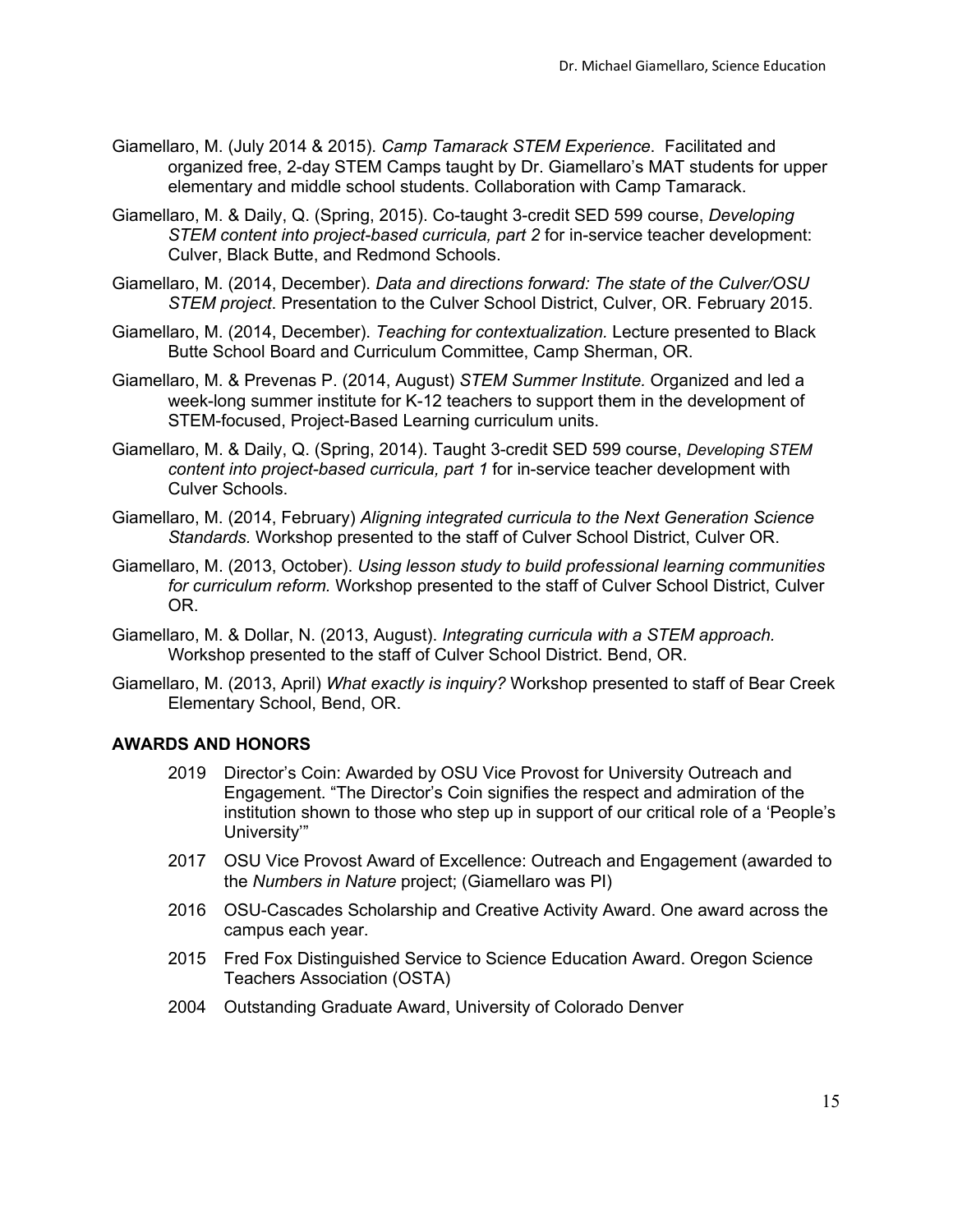- Giamellaro, M. (July 2014 & 2015). *Camp Tamarack STEM Experience*. Facilitated and organized free, 2-day STEM Camps taught by Dr. Giamellaro's MAT students for upper elementary and middle school students. Collaboration with Camp Tamarack.
- Giamellaro, M. & Daily, Q. (Spring, 2015). Co-taught 3-credit SED 599 course, *Developing STEM content into project-based curricula, part 2* for in-service teacher development: Culver, Black Butte, and Redmond Schools.
- Giamellaro, M. (2014, December). *Data and directions forward: The state of the Culver/OSU STEM project*. Presentation to the Culver School District, Culver, OR. February 2015.
- Giamellaro, M. (2014, December). *Teaching for contextualization.* Lecture presented to Black Butte School Board and Curriculum Committee, Camp Sherman, OR.
- Giamellaro, M. & Prevenas P. (2014, August) *STEM Summer Institute.* Organized and led a week-long summer institute for K-12 teachers to support them in the development of STEM-focused, Project-Based Learning curriculum units.
- Giamellaro, M. & Daily, Q. (Spring, 2014). Taught 3-credit SED 599 course, *Developing STEM content into project-based curricula, part 1* for in-service teacher development with Culver Schools.
- Giamellaro, M. (2014, February) *Aligning integrated curricula to the Next Generation Science Standards.* Workshop presented to the staff of Culver School District, Culver OR.
- Giamellaro, M. (2013, October). *Using lesson study to build professional learning communities for curriculum reform.* Workshop presented to the staff of Culver School District, Culver OR.
- Giamellaro, M. & Dollar, N. (2013, August). *Integrating curricula with a STEM approach.*  Workshop presented to the staff of Culver School District. Bend, OR.
- Giamellaro, M. (2013, April) *What exactly is inquiry?* Workshop presented to staff of Bear Creek Elementary School, Bend, OR.

# **AWARDS AND HONORS**

- 2019 Director's Coin: Awarded by OSU Vice Provost for University Outreach and Engagement. "The Director's Coin signifies the respect and admiration of the institution shown to those who step up in support of our critical role of a 'People's University'"
- 2017 OSU Vice Provost Award of Excellence: Outreach and Engagement (awarded to the *Numbers in Nature* project; (Giamellaro was PI)
- 2016 OSU-Cascades Scholarship and Creative Activity Award. One award across the campus each year.
- 2015 Fred Fox Distinguished Service to Science Education Award. Oregon Science Teachers Association (OSTA)
- 2004 Outstanding Graduate Award, University of Colorado Denver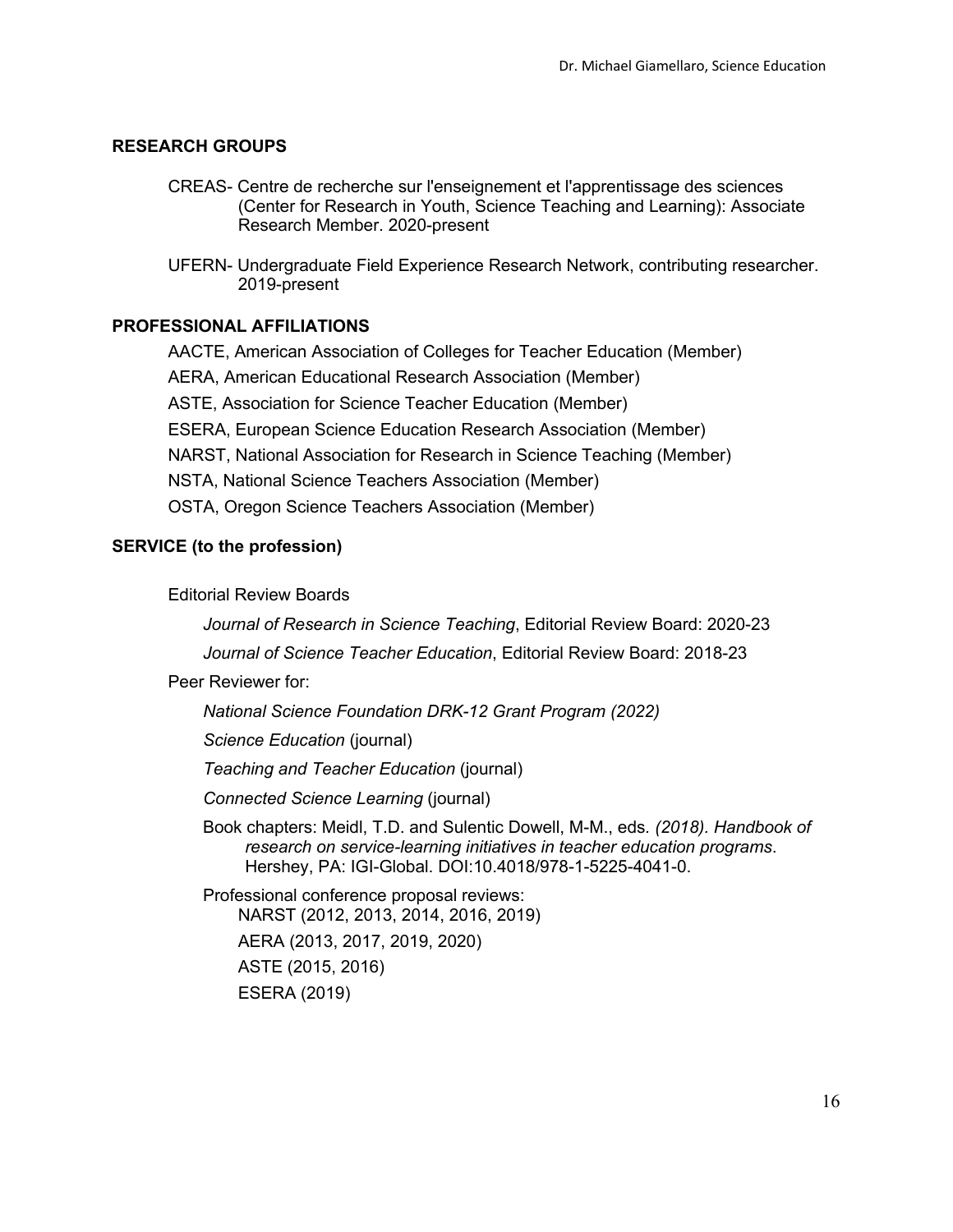#### **RESEARCH GROUPS**

- CREAS- Centre de recherche sur l'enseignement et l'apprentissage des sciences (Center for Research in Youth, Science Teaching and Learning): Associate Research Member. 2020-present
- UFERN- Undergraduate Field Experience Research Network, contributing researcher. 2019-present

# **PROFESSIONAL AFFILIATIONS**

AACTE, American Association of Colleges for Teacher Education (Member) AERA, American Educational Research Association (Member) ASTE, Association for Science Teacher Education (Member) ESERA, European Science Education Research Association (Member) NARST, National Association for Research in Science Teaching (Member) NSTA, National Science Teachers Association (Member) OSTA, Oregon Science Teachers Association (Member)

# **SERVICE (to the profession)**

Editorial Review Boards

*Journal of Research in Science Teaching*, Editorial Review Board: 2020-23

*Journal of Science Teacher Education*, Editorial Review Board: 2018-23

#### Peer Reviewer for:

*National Science Foundation DRK-12 Grant Program (2022)*

*Science Education* (journal)

*Teaching and Teacher Education* (journal)

*Connected Science Learning* (journal)

Book chapters: Meidl, T.D. and Sulentic Dowell, M-M., eds*. (2018). Handbook of research on service-learning initiatives in teacher education programs*. Hershey, PA: IGI-Global. DOI:10.4018/978-1-5225-4041-0.

Professional conference proposal reviews: NARST (2012, 2013, 2014, 2016, 2019) AERA (2013, 2017, 2019, 2020) ASTE (2015, 2016) ESERA (2019)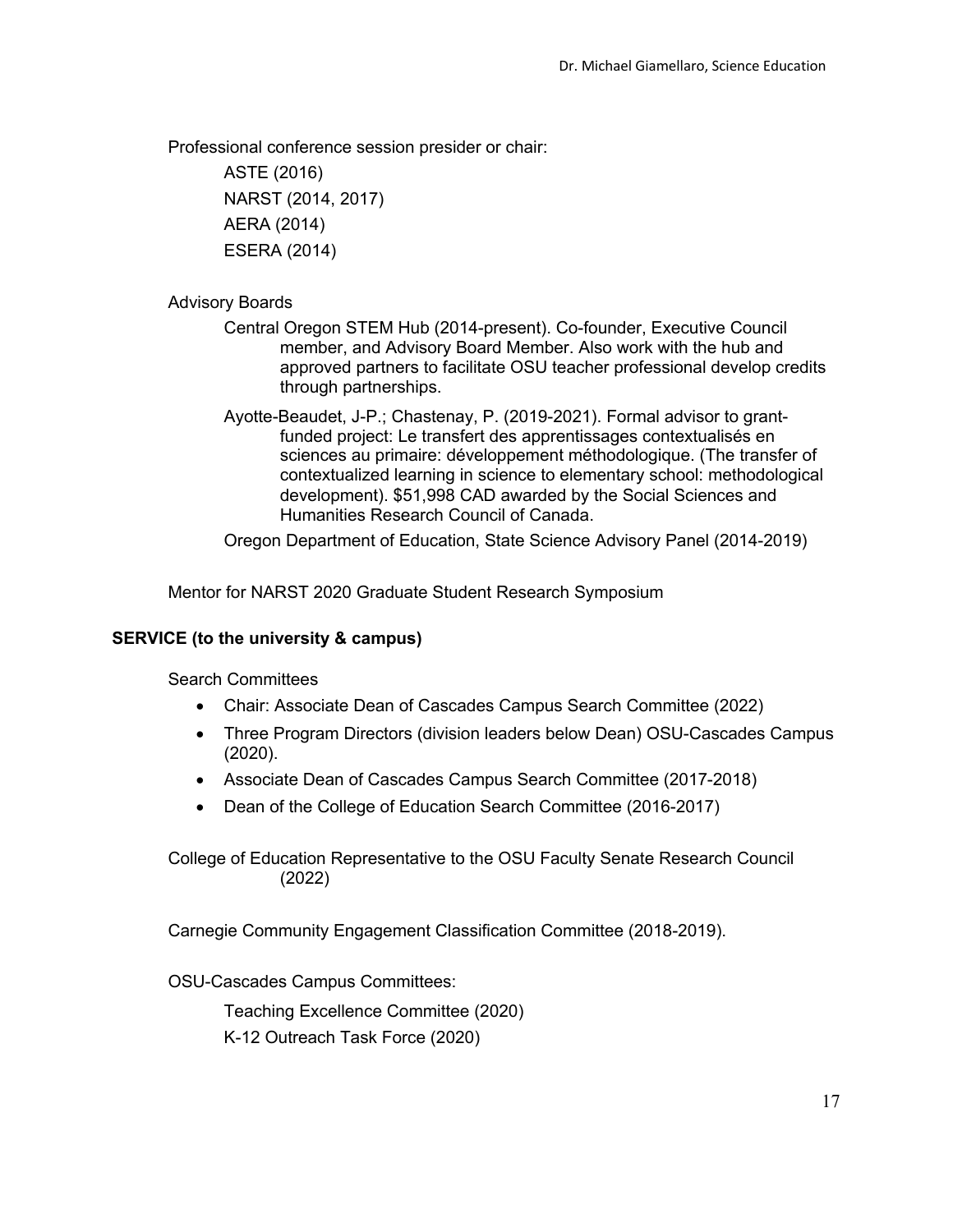Professional conference session presider or chair:

ASTE (2016) NARST (2014, 2017) AERA (2014) ESERA (2014)

# Advisory Boards

- Central Oregon STEM Hub (2014-present). Co-founder, Executive Council member, and Advisory Board Member. Also work with the hub and approved partners to facilitate OSU teacher professional develop credits through partnerships.
- Ayotte-Beaudet, J-P.; Chastenay, P. (2019-2021). Formal advisor to grantfunded project: Le transfert des apprentissages contextualisés en sciences au primaire: développement méthodologique. (The transfer of contextualized learning in science to elementary school: methodological development). \$51,998 CAD awarded by the Social Sciences and Humanities Research Council of Canada.

Oregon Department of Education, State Science Advisory Panel (2014-2019)

Mentor for NARST 2020 Graduate Student Research Symposium

# **SERVICE (to the university & campus)**

Search Committees

- Chair: Associate Dean of Cascades Campus Search Committee (2022)
- Three Program Directors (division leaders below Dean) OSU-Cascades Campus (2020).
- Associate Dean of Cascades Campus Search Committee (2017-2018)
- Dean of the College of Education Search Committee (2016-2017)

College of Education Representative to the OSU Faculty Senate Research Council (2022)

Carnegie Community Engagement Classification Committee (2018-2019).

OSU-Cascades Campus Committees:

Teaching Excellence Committee (2020) K-12 Outreach Task Force (2020)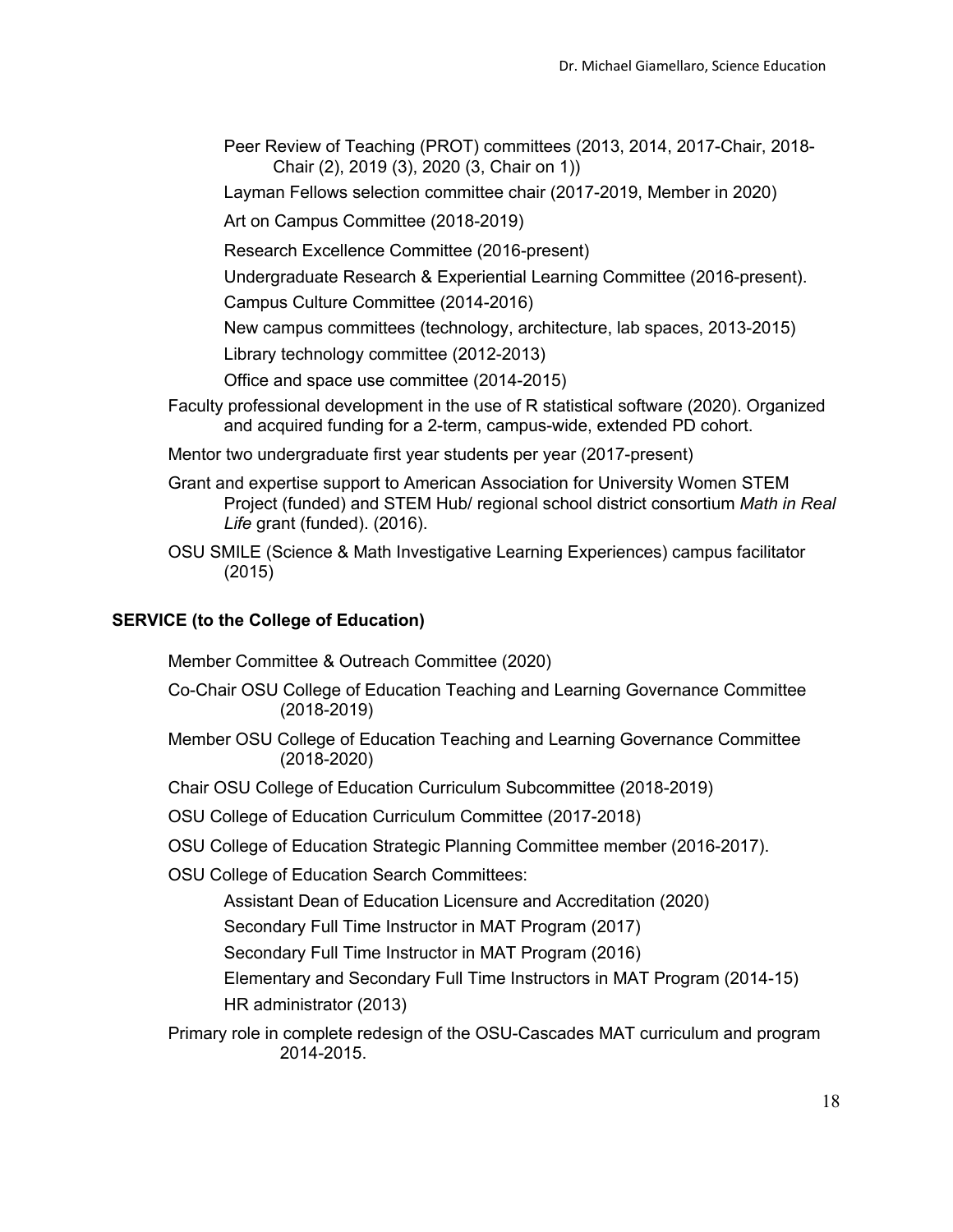- Peer Review of Teaching (PROT) committees (2013, 2014, 2017-Chair, 2018- Chair (2), 2019 (3), 2020 (3, Chair on 1))
- Layman Fellows selection committee chair (2017-2019, Member in 2020)
- Art on Campus Committee (2018-2019)
- Research Excellence Committee (2016-present)
- Undergraduate Research & Experiential Learning Committee (2016-present).
- Campus Culture Committee (2014-2016)
- New campus committees (technology, architecture, lab spaces, 2013-2015)
- Library technology committee (2012-2013)
- Office and space use committee (2014-2015)
- Faculty professional development in the use of R statistical software (2020). Organized and acquired funding for a 2-term, campus-wide, extended PD cohort.
- Mentor two undergraduate first year students per year (2017-present)
- Grant and expertise support to American Association for University Women STEM Project (funded) and STEM Hub/ regional school district consortium *Math in Real Life* grant (funded). (2016).
- OSU SMILE (Science & Math Investigative Learning Experiences) campus facilitator (2015)

#### **SERVICE (to the College of Education)**

Member Committee & Outreach Committee (2020)

- Co-Chair OSU College of Education Teaching and Learning Governance Committee (2018-2019)
- Member OSU College of Education Teaching and Learning Governance Committee (2018-2020)
- Chair OSU College of Education Curriculum Subcommittee (2018-2019)
- OSU College of Education Curriculum Committee (2017-2018)
- OSU College of Education Strategic Planning Committee member (2016-2017).

OSU College of Education Search Committees:

- Assistant Dean of Education Licensure and Accreditation (2020)
- Secondary Full Time Instructor in MAT Program (2017)
- Secondary Full Time Instructor in MAT Program (2016)
- Elementary and Secondary Full Time Instructors in MAT Program (2014-15) HR administrator (2013)
- Primary role in complete redesign of the OSU-Cascades MAT curriculum and program 2014-2015.